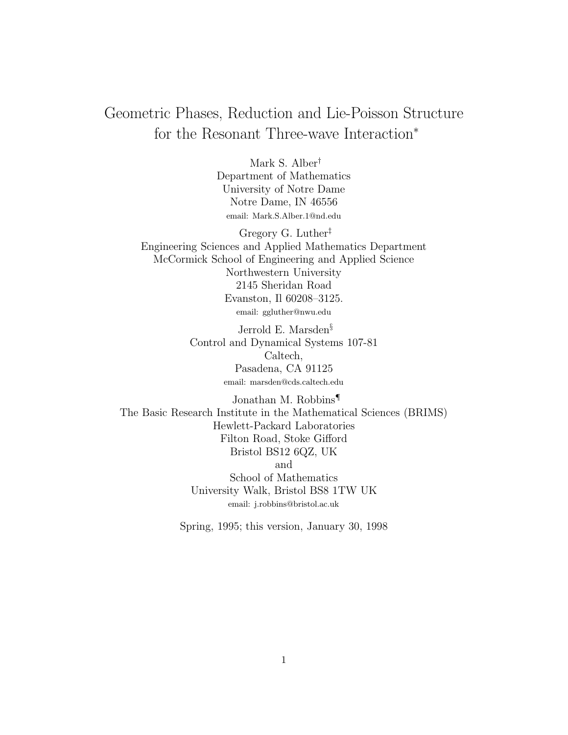# Geometric Phases, Reduction and Lie-Poisson Structure for the Resonant Three-wave Interaction<sup>∗</sup>

Mark S. Alber† Department of Mathematics University of Notre Dame Notre Dame, IN 46556 email: Mark.S.Alber.1@nd.edu

Gregory G. Luther‡ Engineering Sciences and Applied Mathematics Department McCormick School of Engineering and Applied Science Northwestern University 2145 Sheridan Road Evanston, Il 60208–3125. email: ggluther@nwu.edu

> Jerrold E. Marsden§ Control and Dynamical Systems 107-81 Caltech, Pasadena, CA 91125 email: marsden@cds.caltech.edu

Jonathan M. Robbins¶ The Basic Research Institute in the Mathematical Sciences (BRIMS) Hewlett-Packard Laboratories Filton Road, Stoke Gifford Bristol BS12 6QZ, UK and School of Mathematics University Walk, Bristol BS8 1TW UK email: j.robbins@bristol.ac.uk

Spring, 1995; this version, January 30, 1998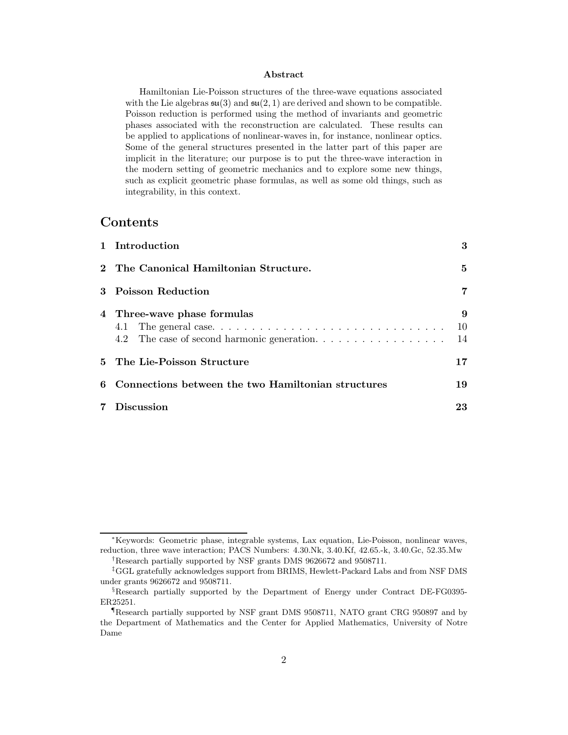#### **Abstract**

Hamiltonian Lie-Poisson structures of the three-wave equations associated with the Lie algebras  $\mathfrak{su}(3)$  and  $\mathfrak{su}(2,1)$  are derived and shown to be compatible. Poisson reduction is performed using the method of invariants and geometric phases associated with the reconstruction are calculated. These results can be applied to applications of nonlinear-waves in, for instance, nonlinear optics. Some of the general structures presented in the latter part of this paper are implicit in the literature; our purpose is to put the three-wave interaction in the modern setting of geometric mechanics and to explore some new things, such as explicit geometric phase formulas, as well as some old things, such as integrability, in this context.

# **Contents**

|                | 1 Introduction                                                            | 3             |
|----------------|---------------------------------------------------------------------------|---------------|
|                | 2 The Canonical Hamiltonian Structure.                                    | 5             |
|                | 3 Poisson Reduction                                                       | 7             |
|                | 4 Three-wave phase formulas<br>4.2 The case of second harmonic generation | 9<br>10<br>14 |
|                | 5 The Lie-Poisson Structure                                               | 17            |
|                | 6 Connections between the two Hamiltonian structures                      | 19            |
| $7\phantom{.}$ | Discussion                                                                | 23            |

<sup>∗</sup>Keywords: Geometric phase, integrable systems, Lax equation, Lie-Poisson, nonlinear waves, reduction, three wave interaction; PACS Numbers: 4.30.Nk, 3.40.Kf, 42.65.-k, 3.40.Gc, 52.35.Mw †Research partially supported by NSF grants DMS 9626672 and 9508711.

<sup>‡</sup>GGL gratefully acknowledges support from BRIMS, Hewlett-Packard Labs and from NSF DMS under grants 9626672 and 9508711.

<sup>§</sup>Research partially supported by the Department of Energy under Contract DE-FG0395- ER25251.

<sup>¶</sup>Research partially supported by NSF grant DMS 9508711, NATO grant CRG 950897 and by the Department of Mathematics and the Center for Applied Mathematics, University of Notre Dame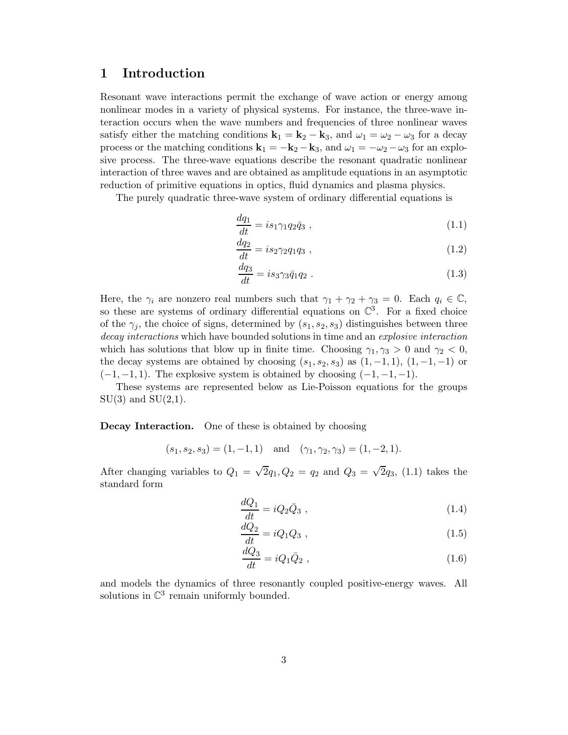# **1 Introduction**

Resonant wave interactions permit the exchange of wave action or energy among nonlinear modes in a variety of physical systems. For instance, the three-wave interaction occurs when the wave numbers and frequencies of three nonlinear waves satisfy either the matching conditions  $\mathbf{k}_1 = \mathbf{k}_2 - \mathbf{k}_3$ , and  $\omega_1 = \omega_2 - \omega_3$  for a decay process or the matching conditions  $\mathbf{k}_1 = -\mathbf{k}_2 - \mathbf{k}_3$ , and  $\omega_1 = -\omega_2 - \omega_3$  for an explosive process. The three-wave equations describe the resonant quadratic nonlinear interaction of three waves and are obtained as amplitude equations in an asymptotic reduction of primitive equations in optics, fluid dynamics and plasma physics.

The purely quadratic three-wave system of ordinary differential equations is

$$
\frac{dq_1}{dt} = i s_1 \gamma_1 q_2 \bar{q}_3 , \qquad (1.1)
$$

$$
\frac{dq_2}{dt} = is_2 \gamma_2 q_1 q_3 , \qquad (1.2)
$$

$$
\frac{dq_3}{dt} = i s_3 \gamma_3 \bar{q}_1 q_2 \tag{1.3}
$$

Here, the  $\gamma_i$  are nonzero real numbers such that  $\gamma_1 + \gamma_2 + \gamma_3 = 0$ . Each  $q_i \in \mathbb{C}$ , so these are systems of ordinary differential equations on  $\mathbb{C}^3$ . For a fixed choice of the  $\gamma_i$ , the choice of signs, determined by  $(s_1, s_2, s_3)$  distinguishes between three decay interactions which have bounded solutions in time and an explosive interaction which has solutions that blow up in finite time. Choosing  $\gamma_1, \gamma_3 > 0$  and  $\gamma_2 < 0$ , the decay systems are obtained by choosing  $(s_1, s_2, s_3)$  as  $(1, -1, 1)$ ,  $(1, -1, -1)$  or  $(-1, -1, 1)$ . The explosive system is obtained by choosing  $(-1, -1, -1)$ .

These systems are represented below as Lie-Poisson equations for the groups  $SU(3)$  and  $SU(2,1)$ .

**Decay Interaction.** One of these is obtained by choosing

$$
(s_1, s_2, s_3) = (1, -1, 1)
$$
 and  $(\gamma_1, \gamma_2, \gamma_3) = (1, -2, 1).$ 

After changing variables to  $Q_1 = \sqrt{2}q_1, Q_2 = q_2$  and  $Q_3 = \sqrt{2}q_3$ , (1.1) takes the standard form

$$
\frac{dQ_1}{dt} = iQ_2\bar{Q}_3 \t\t(1.4)
$$

$$
\frac{dQ_2}{dt} = iQ_1Q_3 \t\t(1.5)
$$

$$
\frac{dQ_3}{dt} = iQ_1\bar{Q}_2 \t\t(1.6)
$$

and models the dynamics of three resonantly coupled positive-energy waves. All solutions in  $\mathbb{C}^3$  remain uniformly bounded.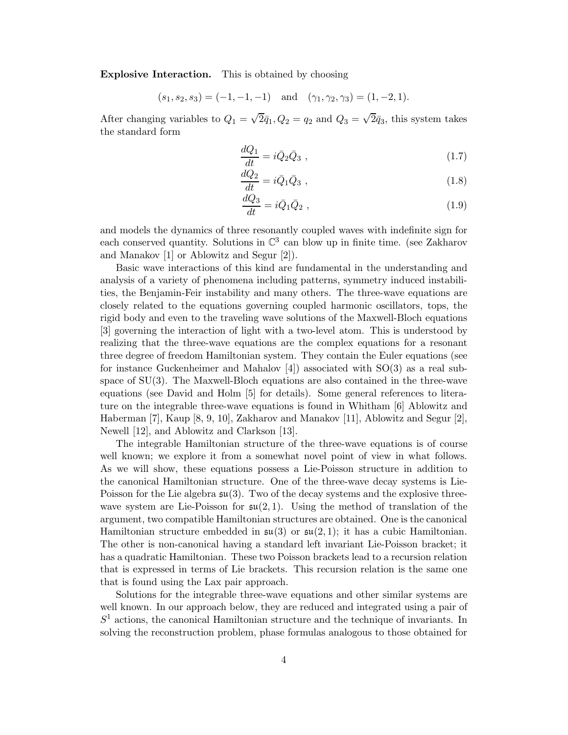**Explosive Interaction.** This is obtained by choosing

$$
(s_1, s_2, s_3) = (-1, -1, -1)
$$
 and  $(\gamma_1, \gamma_2, \gamma_3) = (1, -2, 1).$ 

After changing variables to  $Q_1 = \sqrt{2}\bar{q}_1$ ,  $Q_2 = q_2$  and  $Q_3 = \sqrt{2}\bar{q}_3$ , this system takes the standard form

$$
\frac{dQ_1}{dt} = i\bar{Q}_2\bar{Q}_3 \t\t(1.7)
$$

$$
\frac{dQ_2}{dt} = i\bar{Q}_1\bar{Q}_3 \tag{1.8}
$$

$$
\frac{dQ_3}{dt} = i\bar{Q}_1\bar{Q}_2 \t\t(1.9)
$$

and models the dynamics of three resonantly coupled waves with indefinite sign for each conserved quantity. Solutions in  $\mathbb{C}^3$  can blow up in finite time. (see Zakharov and Manakov [1] or Ablowitz and Segur [2]).

Basic wave interactions of this kind are fundamental in the understanding and analysis of a variety of phenomena including patterns, symmetry induced instabilities, the Benjamin-Feir instability and many others. The three-wave equations are closely related to the equations governing coupled harmonic oscillators, tops, the rigid body and even to the traveling wave solutions of the Maxwell-Bloch equations [3] governing the interaction of light with a two-level atom. This is understood by realizing that the three-wave equations are the complex equations for a resonant three degree of freedom Hamiltonian system. They contain the Euler equations (see for instance Guckenheimer and Mahalov  $[4]$ ) associated with  $SO(3)$  as a real subspace of SU(3). The Maxwell-Bloch equations are also contained in the three-wave equations (see David and Holm [5] for details). Some general references to literature on the integrable three-wave equations is found in Whitham [6] Ablowitz and Haberman [7], Kaup [8, 9, 10], Zakharov and Manakov [11], Ablowitz and Segur [2], Newell [12], and Ablowitz and Clarkson [13].

The integrable Hamiltonian structure of the three-wave equations is of course well known; we explore it from a somewhat novel point of view in what follows. As we will show, these equations possess a Lie-Poisson structure in addition to the canonical Hamiltonian structure. One of the three-wave decay systems is Lie-Poisson for the Lie algebra  $\mathfrak{su}(3)$ . Two of the decay systems and the explosive threewave system are Lie-Poisson for  $\mathfrak{su}(2,1)$ . Using the method of translation of the argument, two compatible Hamiltonian structures are obtained. One is the canonical Hamiltonian structure embedded in  $\mathfrak{su}(3)$  or  $\mathfrak{su}(2,1)$ ; it has a cubic Hamiltonian. The other is non-canonical having a standard left invariant Lie-Poisson bracket; it has a quadratic Hamiltonian. These two Poisson brackets lead to a recursion relation that is expressed in terms of Lie brackets. This recursion relation is the same one that is found using the Lax pair approach.

Solutions for the integrable three-wave equations and other similar systems are well known. In our approach below, they are reduced and integrated using a pair of  $S<sup>1</sup>$  actions, the canonical Hamiltonian structure and the technique of invariants. In solving the reconstruction problem, phase formulas analogous to those obtained for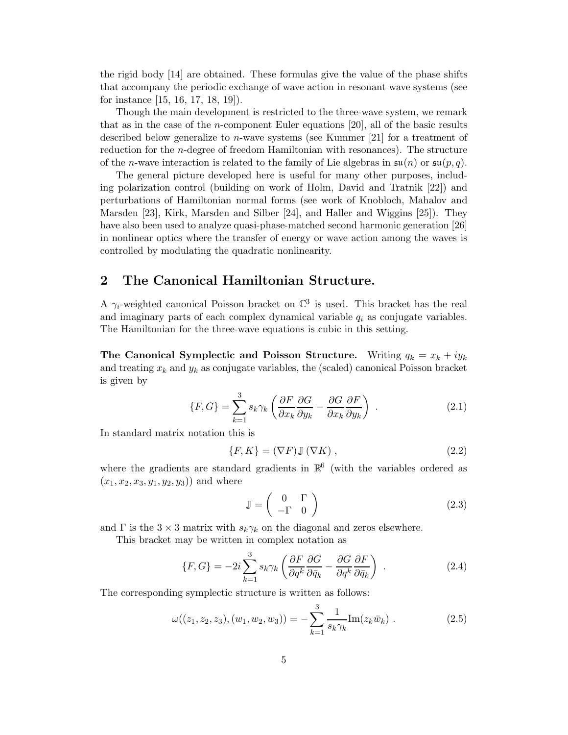the rigid body [14] are obtained. These formulas give the value of the phase shifts that accompany the periodic exchange of wave action in resonant wave systems (see for instance [15, 16, 17, 18, 19]).

Though the main development is restricted to the three-wave system, we remark that as in the case of the *n*-component Euler equations [20], all of the basic results described below generalize to *n*-wave systems (see Kummer [21] for a treatment of reduction for the n-degree of freedom Hamiltonian with resonances). The structure of the *n*-wave interaction is related to the family of Lie algebras in  $\mathfrak{su}(n)$  or  $\mathfrak{su}(p,q)$ .

The general picture developed here is useful for many other purposes, including polarization control (building on work of Holm, David and Tratnik [22]) and perturbations of Hamiltonian normal forms (see work of Knobloch, Mahalov and Marsden [23], Kirk, Marsden and Silber [24], and Haller and Wiggins [25]). They have also been used to analyze quasi-phase-matched second harmonic generation [26] in nonlinear optics where the transfer of energy or wave action among the waves is controlled by modulating the quadratic nonlinearity.

# **2 The Canonical Hamiltonian Structure.**

A  $\gamma_i$ -weighted canonical Poisson bracket on  $\mathbb{C}^3$  is used. This bracket has the real and imaginary parts of each complex dynamical variable  $q_i$  as conjugate variables. The Hamiltonian for the three-wave equations is cubic in this setting.

**The Canonical Symplectic and Poisson Structure.** Writing  $q_k = x_k + iy_k$ and treating  $x_k$  and  $y_k$  as conjugate variables, the (scaled) canonical Poisson bracket is given by

$$
\{F, G\} = \sum_{k=1}^{3} s_k \gamma_k \left( \frac{\partial F}{\partial x_k} \frac{\partial G}{\partial y_k} - \frac{\partial G}{\partial x_k} \frac{\partial F}{\partial y_k} \right) . \tag{2.1}
$$

In standard matrix notation this is

$$
\{F, K\} = (\nabla F) \mathbb{J} (\nabla K) , \qquad (2.2)
$$

where the gradients are standard gradients in  $\mathbb{R}^6$  (with the variables ordered as  $(x_1, x_2, x_3, y_1, y_2, y_3)$  and where

$$
\mathbb{J} = \left( \begin{array}{cc} 0 & \Gamma \\ -\Gamma & 0 \end{array} \right) \tag{2.3}
$$

and  $\Gamma$  is the 3 × 3 matrix with  $s_k \gamma_k$  on the diagonal and zeros elsewhere.

This bracket may be written in complex notation as

$$
\{F, G\} = -2i \sum_{k=1}^{3} s_k \gamma_k \left( \frac{\partial F}{\partial q^k} \frac{\partial G}{\partial \bar{q}_k} - \frac{\partial G}{\partial q^k} \frac{\partial F}{\partial \bar{q}_k} \right) . \tag{2.4}
$$

The corresponding symplectic structure is written as follows:

$$
\omega((z_1, z_2, z_3), (w_1, w_2, w_3)) = -\sum_{k=1}^3 \frac{1}{s_k \gamma_k} \text{Im}(z_k \bar{w}_k) . \tag{2.5}
$$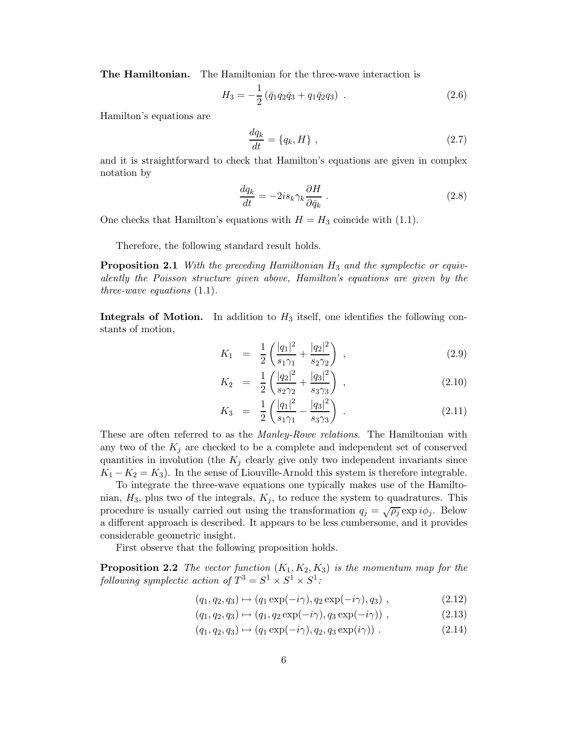**The Hamiltonian.** The Hamiltonian for the three-wave interaction is

$$
H_3 = -\frac{1}{2} \left( \bar{q}_1 q_2 \bar{q}_3 + q_1 \bar{q}_2 q_3 \right) \tag{2.6}
$$

Hamilton's equations are

$$
\frac{dq_k}{dt} = \{q_k, H\},\tag{2.7}
$$

and it is straightforward to check that Hamilton's equations are given in complex notation by

$$
\frac{dq_k}{dt} = -2is_k\gamma_k \frac{\partial H}{\partial \bar{q}_k} \tag{2.8}
$$

One checks that Hamilton's equations with  $H = H_3$  coincide with (1.1).

Therefore, the following standard result holds.

**Proposition 2.1** With the preceding Hamiltonian  $H_3$  and the symplectic or equivalently the Poisson structure given above, Hamilton's equations are given by the three-wave equations (1.1).

**Integrals of Motion.** In addition to  $H_3$  itself, one identifies the following constants of motion,

$$
K_1 = \frac{1}{2} \left( \frac{|q_1|^2}{s_1 \gamma_1} + \frac{|q_2|^2}{s_2 \gamma_2} \right) , \qquad (2.9)
$$

$$
K_2 = \frac{1}{2} \left( \frac{|q_2|^2}{s_2 \gamma_2} + \frac{|q_3|^2}{s_3 \gamma_3} \right) , \qquad (2.10)
$$

$$
K_3 = \frac{1}{2} \left( \frac{|q_1|^2}{s_1 \gamma_1} - \frac{|q_3|^2}{s_3 \gamma_3} \right) \tag{2.11}
$$

These are often referred to as the *Manley-Rowe relations*. The Hamiltonian with any two of the  $K_j$  are checked to be a complete and independent set of conserved quantities in involution (the  $K_j$  clearly give only two independent invariants since  $K_1 - K_2 = K_3$ ). In the sense of Liouville-Arnold this system is therefore integrable.

To integrate the three-wave equations one typically makes use of the Hamiltonian,  $H_3$ , plus two of the integrals,  $K_j$ , to reduce the system to quadratures. This procedure is usually carried out using the transformation  $q_j = \sqrt{\rho_j} \exp i \phi_j$ . Below a different approach is described. It appears to be less cumbersome, and it provides considerable geometric insight.

First observe that the following proposition holds.

**Proposition 2.2** The vector function  $(K_1, K_2, K_3)$  is the momentum map for the following symplectic action of  $T^3 = S^1 \times S^1 \times S^1$ :

$$
(q_1, q_2, q_3) \mapsto (q_1 \exp(-i\gamma), q_2 \exp(-i\gamma), q_3) , \qquad (2.12)
$$

- $(q_1, q_2, q_3) \mapsto (q_1, q_2 \exp(-i\gamma), q_3 \exp(-i\gamma))$ , (2.13)
- $(q_1, q_2, q_3) \mapsto (q_1 \exp(-i\gamma), q_2, q_3 \exp(i\gamma))$  . (2.14)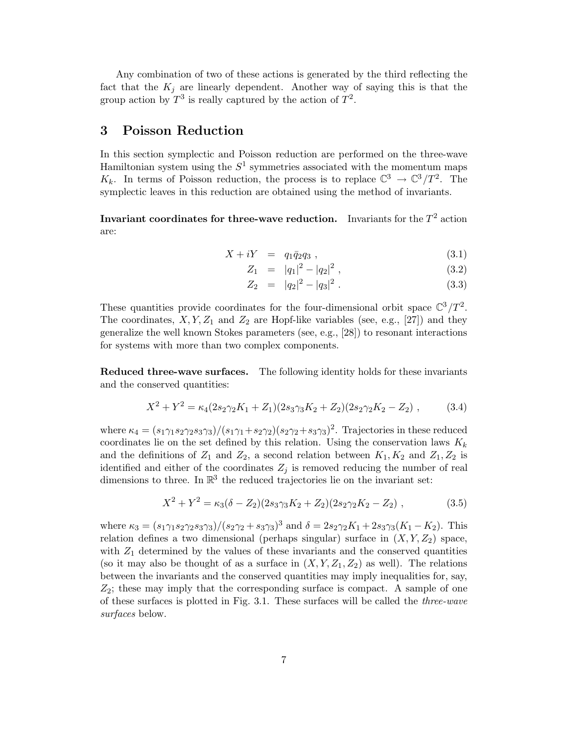Any combination of two of these actions is generated by the third reflecting the fact that the  $K_i$  are linearly dependent. Another way of saying this is that the group action by  $T^3$  is really captured by the action of  $T^2$ .

## **3 Poisson Reduction**

In this section symplectic and Poisson reduction are performed on the three-wave Hamiltonian system using the  $S^1$  symmetries associated with the momentum maps  $K_k$ . In terms of Poisson reduction, the process is to replace  $\mathbb{C}^3 \to \mathbb{C}^3 / T^2$ . The symplectic leaves in this reduction are obtained using the method of invariants.

**Invariant coordinates for three-wave reduction.** Invariants for the  $T^2$  action are:

$$
X + iY = q_1 \bar{q}_2 q_3 , \t\t(3.1)
$$

$$
Z_1 = |q_1|^2 - |q_2|^2, \qquad (3.2)
$$

$$
Z_2 = |q_2|^2 - |q_3|^2. \tag{3.3}
$$

These quantities provide coordinates for the four-dimensional orbit space  $\mathbb{C}^3/T^2$ . The coordinates,  $X, Y, Z_1$  and  $Z_2$  are Hopf-like variables (see, e.g., [27]) and they generalize the well known Stokes parameters (see, e.g., [28]) to resonant interactions for systems with more than two complex components.

**Reduced three-wave surfaces.** The following identity holds for these invariants and the conserved quantities:

$$
X^{2} + Y^{2} = \kappa_{4}(2s_{2}\gamma_{2}K_{1} + Z_{1})(2s_{3}\gamma_{3}K_{2} + Z_{2})(2s_{2}\gamma_{2}K_{2} - Z_{2}), \qquad (3.4)
$$

where  $\kappa_4 = (s_1 \gamma_1 s_2 \gamma_2 s_3 \gamma_3)/(s_1 \gamma_1 + s_2 \gamma_2)(s_2 \gamma_2 + s_3 \gamma_3)^2$ . Trajectories in these reduced coordinates lie on the set defined by this relation. Using the conservation laws  $K_k$ and the definitions of  $Z_1$  and  $Z_2$ , a second relation between  $K_1, K_2$  and  $Z_1, Z_2$  is identified and either of the coordinates  $Z_j$  is removed reducing the number of real dimensions to three. In  $\mathbb{R}^3$  the reduced trajectories lie on the invariant set:

$$
X^{2} + Y^{2} = \kappa_{3}(\delta - Z_{2})(2s_{3}\gamma_{3}K_{2} + Z_{2})(2s_{2}\gamma_{2}K_{2} - Z_{2}), \qquad (3.5)
$$

where  $\kappa_3 = (s_1 \gamma_1 s_2 \gamma_2 s_3 \gamma_3)/(s_2 \gamma_2 + s_3 \gamma_3)^3$  and  $\delta = 2s_2 \gamma_2 K_1 + 2s_3 \gamma_3 (K_1 - K_2)$ . This relation defines a two dimensional (perhaps singular) surface in  $(X, Y, Z_2)$  space, with  $Z_1$  determined by the values of these invariants and the conserved quantities (so it may also be thought of as a surface in  $(X, Y, Z_1, Z_2)$  as well). The relations between the invariants and the conserved quantities may imply inequalities for, say,  $Z_2$ ; these may imply that the corresponding surface is compact. A sample of one of these surfaces is plotted in Fig. 3.1. These surfaces will be called the three-wave surfaces below.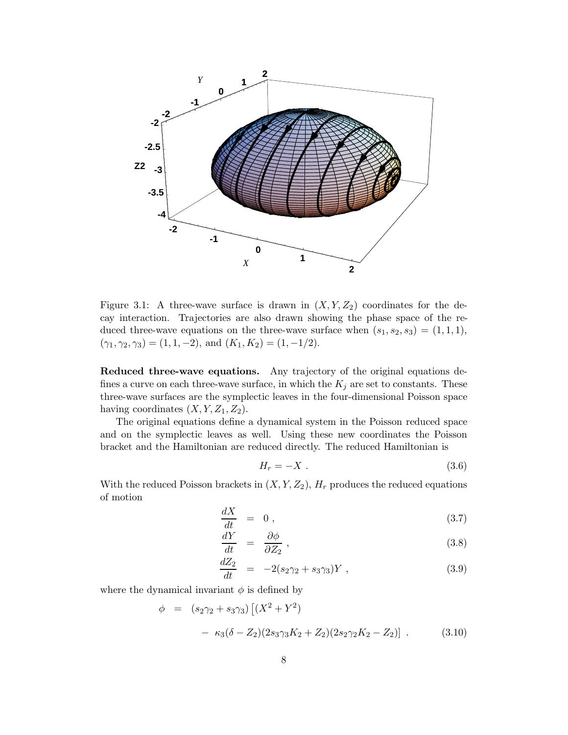

Figure 3.1: A three-wave surface is drawn in  $(X, Y, Z_2)$  coordinates for the decay interaction. Trajectories are also drawn showing the phase space of the reduced three-wave equations on the three-wave surface when  $(s_1, s_2, s_3) = (1, 1, 1)$ ,  $(\gamma_1, \gamma_2, \gamma_3) = (1, 1, -2), \text{ and } (K_1, K_2) = (1, -1/2).$ 

**Reduced three-wave equations.** Any trajectory of the original equations defines a curve on each three-wave surface, in which the  $K_j$  are set to constants. These three-wave surfaces are the symplectic leaves in the four-dimensional Poisson space having coordinates  $(X, Y, Z_1, Z_2)$ .

The original equations define a dynamical system in the Poisson reduced space and on the symplectic leaves as well. Using these new coordinates the Poisson bracket and the Hamiltonian are reduced directly. The reduced Hamiltonian is

$$
H_r = -X \t\t(3.6)
$$

With the reduced Poisson brackets in  $(X, Y, Z_2)$ ,  $H_r$  produces the reduced equations of motion

$$
\frac{dX}{dt} = 0, \t\t(3.7)
$$

$$
\frac{dY}{dt} = \frac{\partial \phi}{\partial Z_2},\tag{3.8}
$$

$$
\frac{dZ_2}{dt} = -2(s_2\gamma_2 + s_3\gamma_3)Y , \qquad (3.9)
$$

where the dynamical invariant  $\phi$  is defined by

$$
\phi = (s_2 \gamma_2 + s_3 \gamma_3) \left[ (X^2 + Y^2) - \kappa_3 (\delta - Z_2)(2s_3 \gamma_3 K_2 + Z_2)(2s_2 \gamma_2 K_2 - Z_2) \right].
$$
\n(3.10)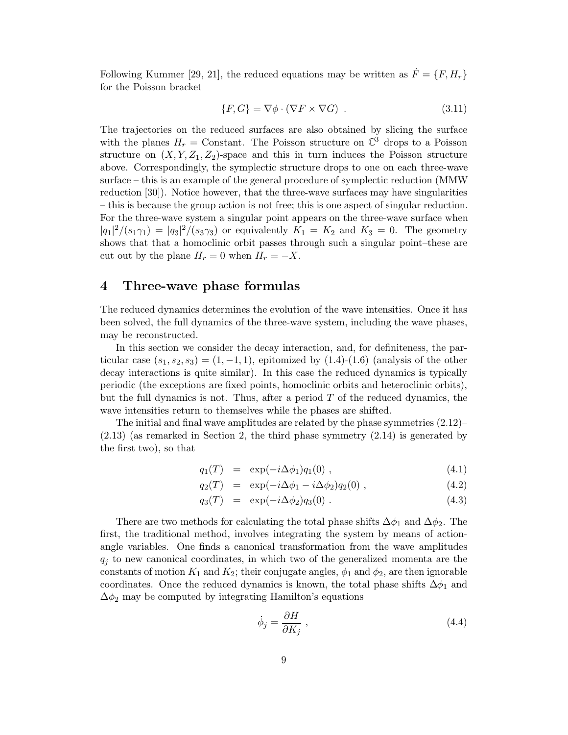Following Kummer [29, 21], the reduced equations may be written as  $\dot{F} = \{F, H_r\}$ for the Poisson bracket

$$
\{F, G\} = \nabla \phi \cdot (\nabla F \times \nabla G) \tag{3.11}
$$

The trajectories on the reduced surfaces are also obtained by slicing the surface with the planes  $H_r = \text{Constant}$ . The Poisson structure on  $\mathbb{C}^3$  drops to a Poisson structure on  $(X, Y, Z_1, Z_2)$ -space and this in turn induces the Poisson structure above. Correspondingly, the symplectic structure drops to one on each three-wave surface – this is an example of the general procedure of symplectic reduction (MMW reduction [30]). Notice however, that the three-wave surfaces may have singularities – this is because the group action is not free; this is one aspect of singular reduction. For the three-wave system a singular point appears on the three-wave surface when  $|q_1|^2/(s_1\gamma_1) = |q_3|^2/(s_3\gamma_3)$  or equivalently  $K_1 = K_2$  and  $K_3 = 0$ . The geometry shows that that a homoclinic orbit passes through such a singular point–these are cut out by the plane  $H_r = 0$  when  $H_r = -X$ .

# **4 Three-wave phase formulas**

The reduced dynamics determines the evolution of the wave intensities. Once it has been solved, the full dynamics of the three-wave system, including the wave phases, may be reconstructed.

In this section we consider the decay interaction, and, for definiteness, the particular case  $(s_1, s_2, s_3) = (1, -1, 1)$ , epitomized by  $(1.4)-(1.6)$  (analysis of the other decay interactions is quite similar). In this case the reduced dynamics is typically periodic (the exceptions are fixed points, homoclinic orbits and heteroclinic orbits), but the full dynamics is not. Thus, after a period  $T$  of the reduced dynamics, the wave intensities return to themselves while the phases are shifted.

The initial and final wave amplitudes are related by the phase symmetries  $(2.12)$  $(2.13)$  (as remarked in Section 2, the third phase symmetry  $(2.14)$  is generated by the first two), so that

$$
q_1(T) = \exp(-i\Delta\phi_1)q_1(0) , \qquad (4.1)
$$

$$
q_2(T) = \exp(-i\Delta\phi_1 - i\Delta\phi_2)q_2(0) , \qquad (4.2)
$$

$$
q_3(T) = \exp(-i\Delta\phi_2)q_3(0) \tag{4.3}
$$

There are two methods for calculating the total phase shifts  $\Delta\phi_1$  and  $\Delta\phi_2$ . The first, the traditional method, involves integrating the system by means of actionangle variables. One finds a canonical transformation from the wave amplitudes  $q_i$  to new canonical coordinates, in which two of the generalized momenta are the constants of motion  $K_1$  and  $K_2$ ; their conjugate angles,  $\phi_1$  and  $\phi_2$ , are then ignorable coordinates. Once the reduced dynamics is known, the total phase shifts  $\Delta\phi_1$  and  $\Delta\phi_2$  may be computed by integrating Hamilton's equations

$$
\dot{\phi}_j = \frac{\partial H}{\partial K_j} \,,\tag{4.4}
$$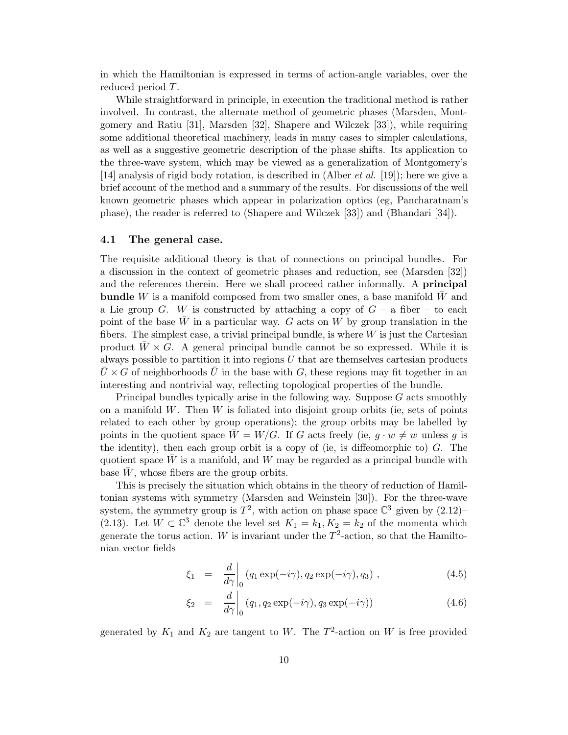in which the Hamiltonian is expressed in terms of action-angle variables, over the reduced period T.

While straightforward in principle, in execution the traditional method is rather involved. In contrast, the alternate method of geometric phases (Marsden, Montgomery and Ratiu [31], Marsden [32], Shapere and Wilczek [33]), while requiring some additional theoretical machinery, leads in many cases to simpler calculations, as well as a suggestive geometric description of the phase shifts. Its application to the three-wave system, which may be viewed as a generalization of Montgomery's [14] analysis of rigid body rotation, is described in (Alber *et al.* [19]); here we give a brief account of the method and a summary of the results. For discussions of the well known geometric phases which appear in polarization optics (eg, Pancharatnam's phase), the reader is referred to (Shapere and Wilczek [33]) and (Bhandari [34]).

#### **4.1 The general case.**

The requisite additional theory is that of connections on principal bundles. For a discussion in the context of geometric phases and reduction, see (Marsden [32]) and the references therein. Here we shall proceed rather informally. A **principal bundle** W is a manifold composed from two smaller ones, a base manifold  $\bar{W}$  and a Lie group G. W is constructed by attaching a copy of  $G$  – a fiber – to each point of the base  $\overline{W}$  in a particular way. G acts on W by group translation in the fibers. The simplest case, a trivial principal bundle, is where  $W$  is just the Cartesian product  $W \times G$ . A general principal bundle cannot be so expressed. While it is always possible to partition it into regions  $U$  that are themselves cartesian products  $U \times G$  of neighborhoods U in the base with G, these regions may fit together in an interesting and nontrivial way, reflecting topological properties of the bundle.

Principal bundles typically arise in the following way. Suppose  $G$  acts smoothly on a manifold  $W$ . Then  $W$  is foliated into disjoint group orbits (ie, sets of points related to each other by group operations); the group orbits may be labelled by points in the quotient space  $\overline{W} = W/G$ . If G acts freely (ie,  $q \cdot w \neq w$  unless q is the identity), then each group orbit is a copy of (ie, is diffeomorphic to)  $G$ . The quotient space  $W$  is a manifold, and  $W$  may be regarded as a principal bundle with base  $W$ , whose fibers are the group orbits.

This is precisely the situation which obtains in the theory of reduction of Hamiltonian systems with symmetry (Marsden and Weinstein [30]). For the three-wave system, the symmetry group is  $T^2$ , with action on phase space  $\mathbb{C}^3$  given by  $(2.12)$ (2.13). Let  $W \subset \mathbb{C}^3$  denote the level set  $K_1 = k_1, K_2 = k_2$  of the momenta which generate the torus action. W is invariant under the  $T^2$ -action, so that the Hamiltonian vector fields

$$
\xi_1 = \frac{d}{d\gamma}\bigg|_0 (q_1 \exp(-i\gamma), q_2 \exp(-i\gamma), q_3) , \qquad (4.5)
$$

$$
\xi_2 = \frac{d}{d\gamma}\bigg|_0 (q_1, q_2 \exp(-i\gamma), q_3 \exp(-i\gamma)) \tag{4.6}
$$

generated by  $K_1$  and  $K_2$  are tangent to W. The  $T^2$ -action on W is free provided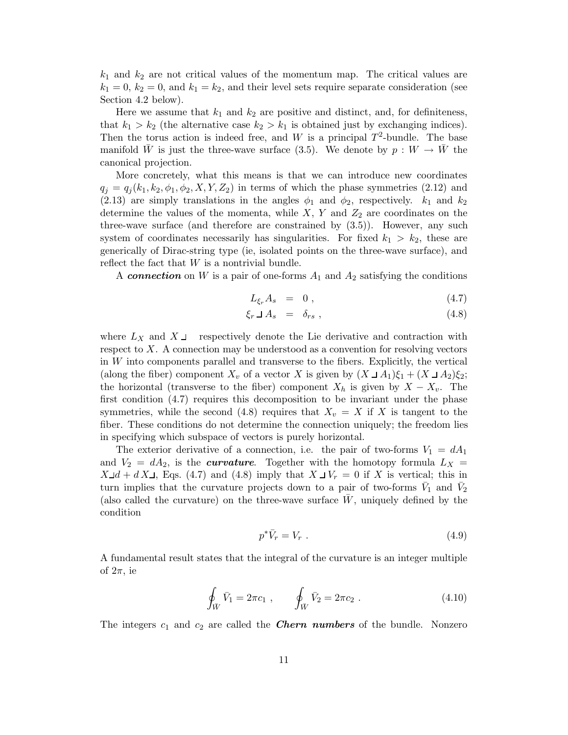$k_1$  and  $k_2$  are not critical values of the momentum map. The critical values are  $k_1 = 0, k_2 = 0,$  and  $k_1 = k_2$ , and their level sets require separate consideration (see Section 4.2 below).

Here we assume that  $k_1$  and  $k_2$  are positive and distinct, and, for definiteness, that  $k_1 > k_2$  (the alternative case  $k_2 > k_1$  is obtained just by exchanging indices). Then the torus action is indeed free, and W is a principal  $T^2$ -bundle. The base manifold  $\bar{W}$  is just the three-wave surface (3.5). We denote by  $p : W \to \bar{W}$  the canonical projection.

More concretely, what this means is that we can introduce new coordinates  $q_i = q_i(k_1, k_2, \phi_1, \phi_2, X, Y, Z_2)$  in terms of which the phase symmetries (2.12) and (2.13) are simply translations in the angles  $\phi_1$  and  $\phi_2$ , respectively.  $k_1$  and  $k_2$ determine the values of the momenta, while  $X, Y$  and  $Z_2$  are coordinates on the three-wave surface (and therefore are constrained by (3.5)). However, any such system of coordinates necessarily has singularities. For fixed  $k_1 > k_2$ , these are generically of Dirac-string type (ie, isolated points on the three-wave surface), and reflect the fact that  $W$  is a nontrivial bundle.

A *connection* on W is a pair of one-forms  $A_1$  and  $A_2$  satisfying the conditions

$$
L_{\xi_r} A_s = 0 , \qquad (4.7)
$$

$$
\xi_r \sqcup A_s = \delta_{rs} \tag{4.8}
$$

where  $L_X$  and  $X \perp$  respectively denote the Lie derivative and contraction with respect to  $X$ . A connection may be understood as a convention for resolving vectors in W into components parallel and transverse to the fibers. Explicitly, the vertical (along the fiber) component  $X_v$  of a vector X is given by  $(X \cup A_1)\xi_1 + (X \cup A_2)\xi_2$ ; the horizontal (transverse to the fiber) component  $X_h$  is given by  $X - X_v$ . The first condition (4.7) requires this decomposition to be invariant under the phase symmetries, while the second (4.8) requires that  $X_v = X$  if X is tangent to the fiber. These conditions do not determine the connection uniquely; the freedom lies in specifying which subspace of vectors is purely horizontal.

The exterior derivative of a connection, i.e. the pair of two-forms  $V_1 = dA_1$ and  $V_2 = dA_2$ , is the *curvature*. Together with the homotopy formula  $L_X =$  $X \perp d + d X \perp$ , Eqs. (4.7) and (4.8) imply that  $X \perp V_r = 0$  if X is vertical; this in turn implies that the curvature projects down to a pair of two-forms  $V_1$  and  $V_2$ (also called the curvature) on the three-wave surface  $\bar{W}$ , uniquely defined by the condition

$$
p^*\bar{V}_r = V_r \tag{4.9}
$$

A fundamental result states that the integral of the curvature is an integer multiple of  $2\pi$ , ie

$$
\oint_{\bar{W}} \bar{V}_1 = 2\pi c_1 , \qquad \oint_{\bar{W}} \bar{V}_2 = 2\pi c_2 . \qquad (4.10)
$$

The integers  $c_1$  and  $c_2$  are called the **Chern numbers** of the bundle. Nonzero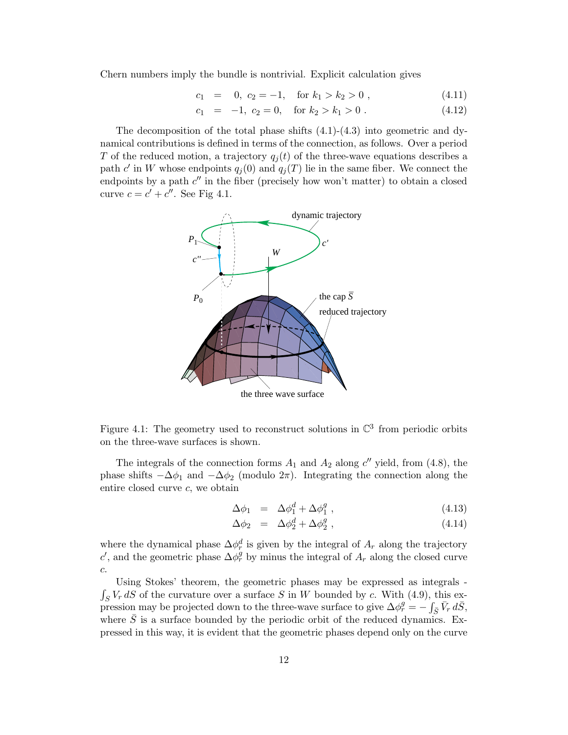Chern numbers imply the bundle is nontrivial. Explicit calculation gives

$$
c_1 = 0, c_2 = -1, \text{ for } k_1 > k_2 > 0,
$$
\n
$$
(4.11)
$$

$$
c_1 = -1, c_2 = 0, \quad \text{for } k_2 > k_1 > 0. \tag{4.12}
$$

The decomposition of the total phase shifts  $(4.1)-(4.3)$  into geometric and dynamical contributions is defined in terms of the connection, as follows. Over a period T of the reduced motion, a trajectory  $q_j(t)$  of the three-wave equations describes a path c' in W whose endpoints  $q_i (0)$  and  $q_i (T)$  lie in the same fiber. We connect the endpoints by a path  $c''$  in the fiber (precisely how won't matter) to obtain a closed curve  $c = c' + c''$ . See Fig 4.1.



Figure 4.1: The geometry used to reconstruct solutions in  $\mathbb{C}^3$  from periodic orbits on the three-wave surfaces is shown.

The integrals of the connection forms  $A_1$  and  $A_2$  along c'' yield, from (4.8), the phase shifts  $-\Delta\phi_1$  and  $-\Delta\phi_2$  (modulo  $2\pi$ ). Integrating the connection along the entire closed curve c, we obtain

$$
\Delta \phi_1 = \Delta \phi_1^d + \Delta \phi_1^g \,, \tag{4.13}
$$

$$
\Delta \phi_2 = \Delta \phi_2^d + \Delta \phi_2^g \,, \tag{4.14}
$$

where the dynamical phase  $\Delta \phi_r^d$  is given by the integral of  $A_r$  along the trajectory c', and the geometric phase  $\Delta \phi_r^g$  by minus the integral of  $A_r$  along the closed curve c.

Using Stokes' theorem, the geometric phases may be expressed as integrals -  $\int_S V_r dS$  of the curvature over a surface S in W bounded by c. With (4.9), this expression may be projected down to the three-wave surface to give  $\Delta \phi_r^g = -\int_{\bar{S}} \bar{V}_r d\bar{S}$ , where  $\overline{S}$  is a surface bounded by the periodic orbit of the reduced dynamics. Expressed in this way, it is evident that the geometric phases depend only on the curve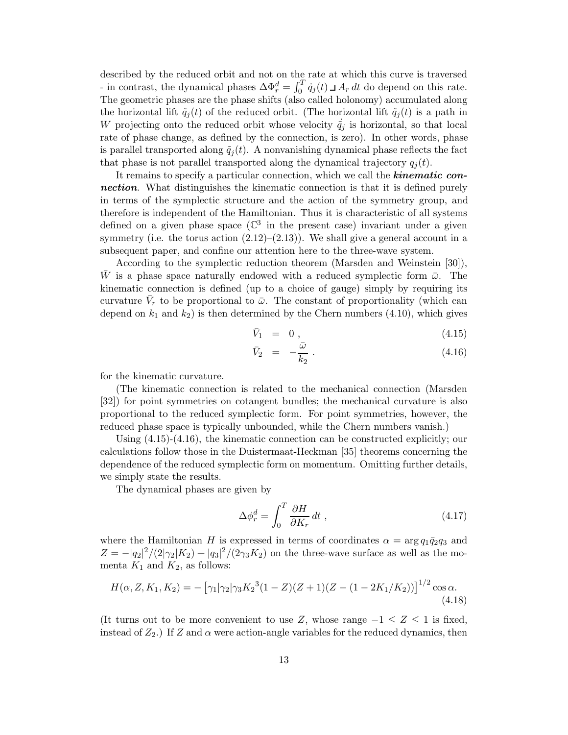described by the reduced orbit and not on the rate at which this curve is traversed - in contrast, the dynamical phases  $\Delta \Phi_r^d = \int_0^T \dot{q}_j(t) \, \Delta \Phi_r^d$  do depend on this rate. The geometric phases are the phase shifts (also called holonomy) accumulated along the horizontal lift  $\tilde{q}_i(t)$  of the reduced orbit. (The horizontal lift  $\tilde{q}_i(t)$  is a path in W projecting onto the reduced orbit whose velocity  $\tilde{q}_j$  is horizontal, so that local rate of phase change, as defined by the connection, is zero). In other words, phase is parallel transported along  $\tilde{q}_i(t)$ . A nonvanishing dynamical phase reflects the fact that phase is not parallel transported along the dynamical trajectory  $q_i(t)$ .

It remains to specify a particular connection, which we call the *kinematic connection*. What distinguishes the kinematic connection is that it is defined purely in terms of the symplectic structure and the action of the symmetry group, and therefore is independent of the Hamiltonian. Thus it is characteristic of all systems defined on a given phase space ( $\mathbb{C}^3$  in the present case) invariant under a given symmetry (i.e. the torus action  $(2.12)$ – $(2.13)$ ). We shall give a general account in a subsequent paper, and confine our attention here to the three-wave system.

According to the symplectic reduction theorem (Marsden and Weinstein [30]), W is a phase space naturally endowed with a reduced symplectic form  $\bar{\omega}$ . The kinematic connection is defined (up to a choice of gauge) simply by requiring its curvature  $\bar{V}_r$  to be proportional to  $\bar{\omega}$ . The constant of proportionality (which can depend on  $k_1$  and  $k_2$ ) is then determined by the Chern numbers (4.10), which gives

$$
\bar{V}_1 = 0, \t\t(4.15)
$$

$$
\bar{V}_2 = -\frac{\bar{\omega}}{k_2} \,. \tag{4.16}
$$

for the kinematic curvature.

(The kinematic connection is related to the mechanical connection (Marsden [32]) for point symmetries on cotangent bundles; the mechanical curvature is also proportional to the reduced symplectic form. For point symmetries, however, the reduced phase space is typically unbounded, while the Chern numbers vanish.)

Using (4.15)-(4.16), the kinematic connection can be constructed explicitly; our calculations follow those in the Duistermaat-Heckman [35] theorems concerning the dependence of the reduced symplectic form on momentum. Omitting further details, we simply state the results.

The dynamical phases are given by

$$
\Delta \phi_r^d = \int_0^T \frac{\partial H}{\partial K_r} dt \;, \tag{4.17}
$$

where the Hamiltonian H is expressed in terms of coordinates  $\alpha = \arg q_1 \bar{q}_2 q_3$  and  $Z = -|q_2|^2/(2|\gamma_2|K_2) + |q_3|^2/(2\gamma_3 K_2)$  on the three-wave surface as well as the momenta  $K_1$  and  $K_2$ , as follows:

$$
H(\alpha, Z, K_1, K_2) = -\left[\gamma_1|\gamma_2|\gamma_3K_2^3(1-Z)(Z+1)(Z-(1-2K_1/K_2))\right]^{1/2}\cos\alpha.
$$
\n(4.18)

(It turns out to be more convenient to use Z, whose range  $-1 \leq Z \leq 1$  is fixed, instead of  $Z_2$ .) If Z and  $\alpha$  were action-angle variables for the reduced dynamics, then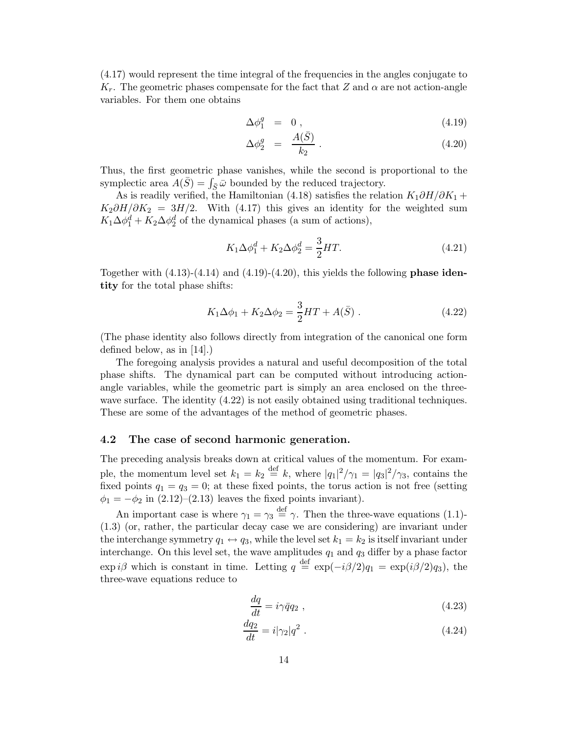(4.17) would represent the time integral of the frequencies in the angles conjugate to  $K_r$ . The geometric phases compensate for the fact that Z and  $\alpha$  are not action-angle variables. For them one obtains

$$
\Delta \phi_1^g = 0 , \qquad (4.19)
$$

$$
\Delta \phi_2^g = \frac{A(\bar{S})}{k_2} \,. \tag{4.20}
$$

Thus, the first geometric phase vanishes, while the second is proportional to the symplectic area  $A(\bar{S}) = \int_{\bar{S}} \bar{\omega}$  bounded by the reduced trajectory.

As is readily verified, the Hamiltonian (4.18) satisfies the relation  $K_1 \partial H/\partial K_1$  +  $K_2\partial H/\partial K_2 = 3H/2$ . With (4.17) this gives an identity for the weighted sum  $K_1 \Delta \phi_1^d + K_2 \Delta \phi_2^d$  of the dynamical phases (a sum of actions),

$$
K_1 \Delta \phi_1^d + K_2 \Delta \phi_2^d = \frac{3}{2} HT.
$$
\n(4.21)

Together with (4.13)-(4.14) and (4.19)-(4.20), this yields the following **phase identity** for the total phase shifts:

$$
K_1 \Delta \phi_1 + K_2 \Delta \phi_2 = \frac{3}{2} H T + A(\bar{S}) . \qquad (4.22)
$$

(The phase identity also follows directly from integration of the canonical one form defined below, as in [14].)

The foregoing analysis provides a natural and useful decomposition of the total phase shifts. The dynamical part can be computed without introducing actionangle variables, while the geometric part is simply an area enclosed on the threewave surface. The identity  $(4.22)$  is not easily obtained using traditional techniques. These are some of the advantages of the method of geometric phases.

### **4.2 The case of second harmonic generation.**

The preceding analysis breaks down at critical values of the momentum. For example, the momentum level set  $k_1 = k_2 \stackrel{\text{def}}{=} k$ , where  $|q_1|^2/\gamma_1 = |q_3|^2/\gamma_3$ , contains the fixed points  $q_1 = q_3 = 0$ ; at these fixed points, the torus action is not free (setting  $\phi_1 = -\phi_2$  in  $(2.12)$ – $(2.13)$  leaves the fixed points invariant).

An important case is where  $\gamma_1 = \gamma_3 \stackrel{\text{def}}{=} \gamma$ . Then the three-wave equations (1.1)-(1.3) (or, rather, the particular decay case we are considering) are invariant under the interchange symmetry  $q_1 \leftrightarrow q_3$ , while the level set  $k_1 = k_2$  is itself invariant under interchange. On this level set, the wave amplitudes  $q_1$  and  $q_3$  differ by a phase factor  $\exp i\beta$  which is constant in time. Letting  $q \stackrel{\text{def}}{=} \exp(-i\beta/2)q_1 = \exp(i\beta/2)q_3$ , the three-wave equations reduce to

$$
\frac{dq}{dt} = i\gamma \bar{q}q_2 , \qquad (4.23)
$$

$$
\frac{dq_2}{dt} = i|\gamma_2|q^2. \tag{4.24}
$$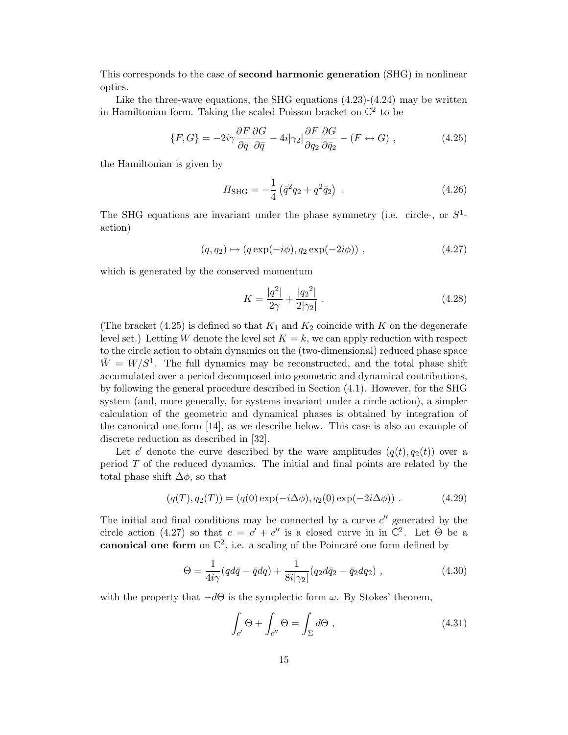This corresponds to the case of **second harmonic generation** (SHG) in nonlinear optics.

Like the three-wave equations, the SHG equations  $(4.23)-(4.24)$  may be written in Hamiltonian form. Taking the scaled Poisson bracket on  $\mathbb{C}^2$  to be

$$
\{F, G\} = -2i\gamma \frac{\partial F}{\partial q} \frac{\partial G}{\partial \bar{q}} - 4i|\gamma_2| \frac{\partial F}{\partial q_2} \frac{\partial G}{\partial \bar{q}_2} - (F \leftrightarrow G) ,\qquad (4.25)
$$

the Hamiltonian is given by

$$
H_{\rm SHG} = -\frac{1}{4} \left( \bar{q}^2 q_2 + q^2 \bar{q}_2 \right) \ . \tag{4.26}
$$

The SHG equations are invariant under the phase symmetry (i.e. circle-, or  $S^1$ action)

$$
(q, q2) \mapsto (q \exp(-i\phi), q2 \exp(-2i\phi)), \qquad (4.27)
$$

which is generated by the conserved momentum

$$
K = \frac{|q^2|}{2\gamma} + \frac{|q_2^2|}{2|\gamma_2|} \,. \tag{4.28}
$$

(The bracket (4.25) is defined so that  $K_1$  and  $K_2$  coincide with K on the degenerate level set.) Letting W denote the level set  $K = k$ , we can apply reduction with respect to the circle action to obtain dynamics on the (two-dimensional) reduced phase space  $\bar{W} = W/S^1$ . The full dynamics may be reconstructed, and the total phase shift accumulated over a period decomposed into geometric and dynamical contributions, by following the general procedure described in Section (4.1). However, for the SHG system (and, more generally, for systems invariant under a circle action), a simpler calculation of the geometric and dynamical phases is obtained by integration of the canonical one-form [14], as we describe below. This case is also an example of discrete reduction as described in [32].

Let c' denote the curve described by the wave amplitudes  $(q(t), q_2(t))$  over a period  $T$  of the reduced dynamics. The initial and final points are related by the total phase shift  $\Delta\phi$ , so that

$$
(q(T), q_2(T)) = (q(0) \exp(-i\Delta\phi), q_2(0) \exp(-2i\Delta\phi)).
$$
 (4.29)

The initial and final conditions may be connected by a curve  $c''$  generated by the circle action (4.27) so that  $c = c' + c''$  is a closed curve in in  $\mathbb{C}^2$ . Let  $\Theta$  be a **canonical one form** on  $\mathbb{C}^2$ , i.e. a scaling of the Poincaré one form defined by

$$
\Theta = \frac{1}{4i\gamma} (q d\bar{q} - \bar{q} dq) + \frac{1}{8i|\gamma_2|} (q_2 d\bar{q}_2 - \bar{q}_2 dq_2) ,
$$
 (4.30)

with the property that  $-d\Theta$  is the symplectic form  $\omega$ . By Stokes' theorem,

$$
\int_{c'} \Theta + \int_{c''} \Theta = \int_{\Sigma} d\Theta , \qquad (4.31)
$$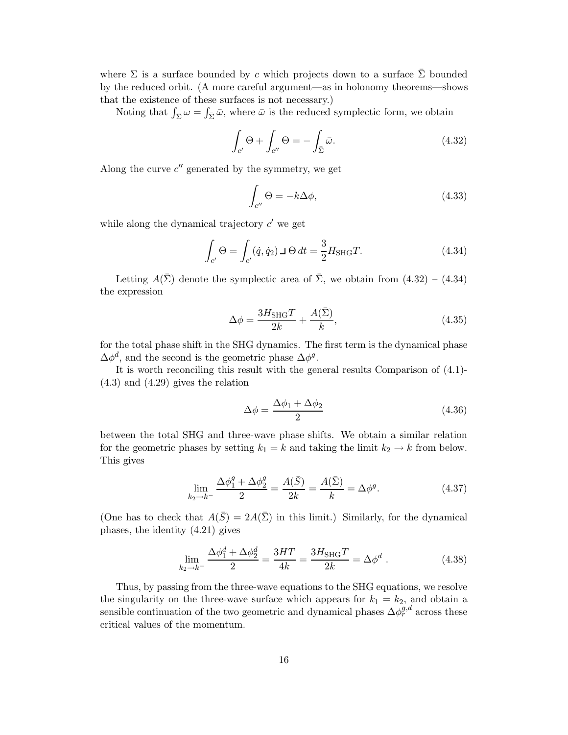where  $\Sigma$  is a surface bounded by c which projects down to a surface  $\overline{\Sigma}$  bounded by the reduced orbit. (A more careful argument—as in holonomy theorems—shows that the existence of these surfaces is not necessary.)

Noting that  $\int_{\Sigma} \omega = \int_{\bar{\Sigma}} \bar{\omega}$ , where  $\bar{\omega}$  is the reduced symplectic form, we obtain

$$
\int_{c'} \Theta + \int_{c''} \Theta = - \int_{\bar{\Sigma}} \bar{\omega}.
$$
\n(4.32)

Along the curve  $c''$  generated by the symmetry, we get

$$
\int_{c''} \Theta = -k \Delta \phi,\tag{4.33}
$$

while along the dynamical trajectory  $c'$  we get

$$
\int_{c'} \Theta = \int_{c'} (\dot{q}, \dot{q}_2) \,\mathrm{d}\Theta \, dt = \frac{3}{2} H_{\text{SHG}} T. \tag{4.34}
$$

Letting  $A(\bar{\Sigma})$  denote the symplectic area of  $\bar{\Sigma}$ , we obtain from  $(4.32) - (4.34)$ the expression

$$
\Delta \phi = \frac{3H_{\text{SHG}}T}{2k} + \frac{A(\bar{\Sigma})}{k},\tag{4.35}
$$

for the total phase shift in the SHG dynamics. The first term is the dynamical phase  $\Delta \phi^d$ , and the second is the geometric phase  $\Delta \phi^g$ .

It is worth reconciling this result with the general results Comparison of (4.1)- (4.3) and (4.29) gives the relation

$$
\Delta \phi = \frac{\Delta \phi_1 + \Delta \phi_2}{2} \tag{4.36}
$$

between the total SHG and three-wave phase shifts. We obtain a similar relation for the geometric phases by setting  $k_1 = k$  and taking the limit  $k_2 \to k$  from below. This gives

$$
\lim_{k_2 \to k^-} \frac{\Delta \phi_1^g + \Delta \phi_2^g}{2} = \frac{A(\bar{S})}{2k} = \frac{A(\bar{\Sigma})}{k} = \Delta \phi^g.
$$
 (4.37)

(One has to check that  $A(\bar{S})=2A(\bar{\Sigma})$  in this limit.) Similarly, for the dynamical phases, the identity (4.21) gives

$$
\lim_{k_2 \to k^-} \frac{\Delta \phi_1^d + \Delta \phi_2^d}{2} = \frac{3HT}{4k} = \frac{3H_{\text{SHG}}T}{2k} = \Delta \phi^d \,. \tag{4.38}
$$

Thus, by passing from the three-wave equations to the SHG equations, we resolve the singularity on the three-wave surface which appears for  $k_1 = k_2$ , and obtain a sensible continuation of the two geometric and dynamical phases  $\Delta \phi_r^{g,d}$  across these critical values of the momentum.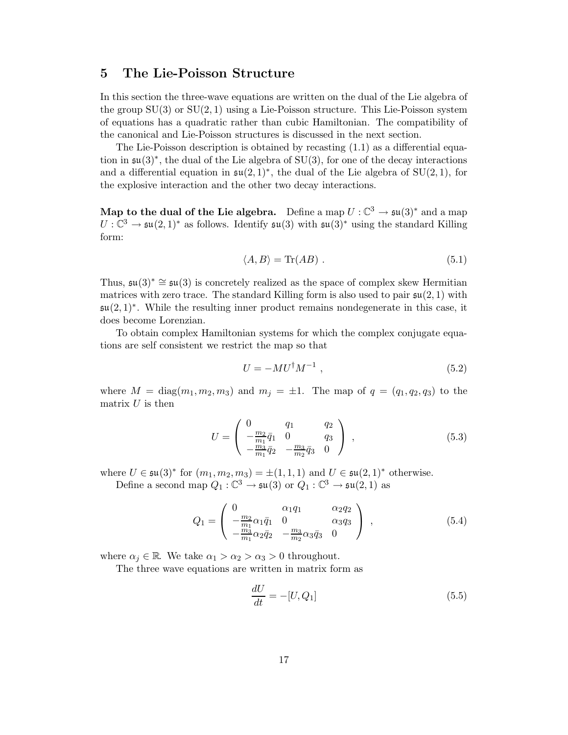## **5 The Lie-Poisson Structure**

In this section the three-wave equations are written on the dual of the Lie algebra of the group  $SU(3)$  or  $SU(2, 1)$  using a Lie-Poisson structure. This Lie-Poisson system of equations has a quadratic rather than cubic Hamiltonian. The compatibility of the canonical and Lie-Poisson structures is discussed in the next section.

The Lie-Poisson description is obtained by recasting (1.1) as a differential equation in  $\mathfrak{su}(3)^*$ , the dual of the Lie algebra of SU(3), for one of the decay interactions and a differential equation in  $\mathfrak{su}(2,1)^*$ , the dual of the Lie algebra of SU(2, 1), for the explosive interaction and the other two decay interactions.

**Map to the dual of the Lie algebra.** Define a map  $U : \mathbb{C}^3 \to \mathfrak{su}(3)^*$  and a map  $U: \mathbb{C}^3 \to \mathfrak{su}(2,1)^*$  as follows. Identify  $\mathfrak{su}(3)$  with  $\mathfrak{su}(3)^*$  using the standard Killing form:

$$
\langle A, B \rangle = \text{Tr}(AB) \tag{5.1}
$$

Thus,  $\mathfrak{su}(3)^* \cong \mathfrak{su}(3)$  is concretely realized as the space of complex skew Hermitian matrices with zero trace. The standard Killing form is also used to pair  $\mathfrak{su}(2,1)$  with  $\mathfrak{su}(2,1)^*$ . While the resulting inner product remains nondegenerate in this case, it does become Lorenzian.

To obtain complex Hamiltonian systems for which the complex conjugate equations are self consistent we restrict the map so that

$$
U = -MU^{\dagger} M^{-1} \tag{5.2}
$$

where  $M = \text{diag}(m_1, m_2, m_3)$  and  $m_i = \pm 1$ . The map of  $q = (q_1, q_2, q_3)$  to the matrix  $U$  is then

$$
U = \begin{pmatrix} 0 & q_1 & q_2 \\ -\frac{m_2}{m_1}\bar{q}_1 & 0 & q_3 \\ -\frac{m_3}{m_1}\bar{q}_2 & -\frac{m_3}{m_2}\bar{q}_3 & 0 \end{pmatrix} , \qquad (5.3)
$$

where  $U \in \mathfrak{su}(3)^*$  for  $(m_1, m_2, m_3) = \pm (1, 1, 1)$  and  $U \in \mathfrak{su}(2, 1)^*$  otherwise. Define a second map  $Q_1: \mathbb{C}^3 \to \mathfrak{su}(3)$  or  $Q_1: \mathbb{C}^3 \to \mathfrak{su}(2,1)$  as

$$
Q_1 = \begin{pmatrix} 0 & \alpha_1 q_1 & \alpha_2 q_2 \\ -\frac{m_2}{m_1} \alpha_1 \bar{q}_1 & 0 & \alpha_3 q_3 \\ -\frac{m_3}{m_1} \alpha_2 \bar{q}_2 & -\frac{m_3}{m_2} \alpha_3 \bar{q}_3 & 0 \end{pmatrix} , \qquad (5.4)
$$

where  $\alpha_j \in \mathbb{R}$ . We take  $\alpha_1 > \alpha_2 > \alpha_3 > 0$  throughout.

The three wave equations are written in matrix form as

$$
\frac{dU}{dt} = -[U, Q_1] \tag{5.5}
$$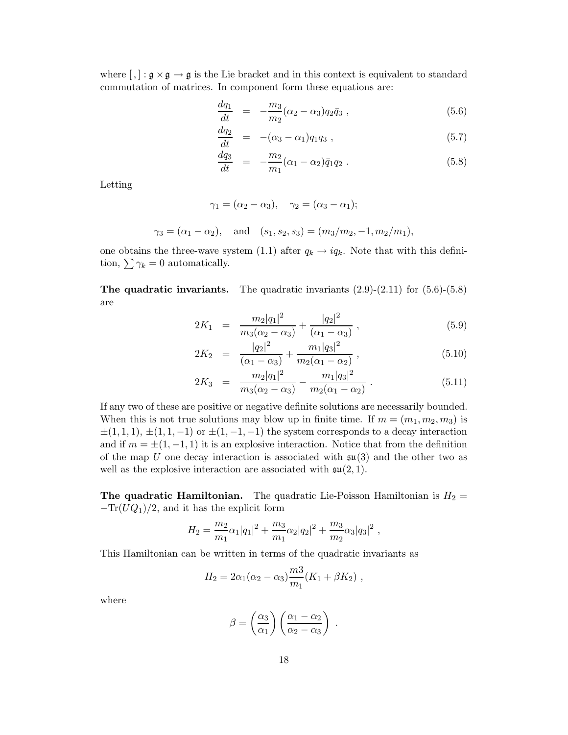where  $[,$  :  $\mathfrak{g} \times \mathfrak{g} \to \mathfrak{g}$  is the Lie bracket and in this context is equivalent to standard commutation of matrices. In component form these equations are:

$$
\frac{dq_1}{dt} = -\frac{m_3}{m_2}(\alpha_2 - \alpha_3)q_2\bar{q}_3 , \qquad (5.6)
$$

$$
\frac{dq_2}{dt} = -(\alpha_3 - \alpha_1)q_1q_3 , \qquad (5.7)
$$

$$
\frac{dq_3}{dt} = -\frac{m_2}{m_1}(\alpha_1 - \alpha_2)\bar{q}_1 q_2 . \tag{5.8}
$$

Letting

$$
\gamma_1 = (\alpha_2 - \alpha_3), \quad \gamma_2 = (\alpha_3 - \alpha_1);
$$
  
\n $\gamma_3 = (\alpha_1 - \alpha_2), \quad \text{and} \quad (s_1, s_2, s_3) = (m_3/m_2, -1, m_2/m_1),$ 

one obtains the three-wave system (1.1) after  $q_k \rightarrow iq_k$ . Note that with this definition,  $\sum \gamma_k = 0$  automatically.

**The quadratic invariants.** The quadratic invariants (2.9)-(2.11) for (5.6)-(5.8) are

$$
2K_1 = \frac{m_2|q_1|^2}{m_3(\alpha_2 - \alpha_3)} + \frac{|q_2|^2}{(\alpha_1 - \alpha_3)}, \qquad (5.9)
$$

$$
2K_2 = \frac{|q_2|^2}{(\alpha_1 - \alpha_3)} + \frac{m_1|q_3|^2}{m_2(\alpha_1 - \alpha_2)}, \qquad (5.10)
$$

$$
2K_3 = \frac{m_2|q_1|^2}{m_3(\alpha_2 - \alpha_3)} - \frac{m_1|q_3|^2}{m_2(\alpha_1 - \alpha_2)}.
$$
\n(5.11)

If any two of these are positive or negative definite solutions are necessarily bounded. When this is not true solutions may blow up in finite time. If  $m = (m_1, m_2, m_3)$  is  $\pm(1,1,1), \pm(1,1,-1)$  or  $\pm(1,-1,-1)$  the system corresponds to a decay interaction and if  $m = \pm (1, -1, 1)$  it is an explosive interaction. Notice that from the definition of the map U one decay interaction is associated with  $\mathfrak{su}(3)$  and the other two as well as the explosive interaction are associated with  $\mathfrak{su}(2,1)$ .

**The quadratic Hamiltonian.** The quadratic Lie-Poisson Hamiltonian is  $H_2$  =  $-\text{Tr}(UQ_1)/2$ , and it has the explicit form

$$
H_2 = \frac{m_2}{m_1} \alpha_1 |q_1|^2 + \frac{m_3}{m_1} \alpha_2 |q_2|^2 + \frac{m_3}{m_2} \alpha_3 |q_3|^2,
$$

This Hamiltonian can be written in terms of the quadratic invariants as

$$
H_2 = 2\alpha_1(\alpha_2 - \alpha_3) \frac{m3}{m_1}(K_1 + \beta K_2) ,
$$

where

$$
\beta = \left(\frac{\alpha_3}{\alpha_1}\right) \left(\frac{\alpha_1 - \alpha_2}{\alpha_2 - \alpha_3}\right) .
$$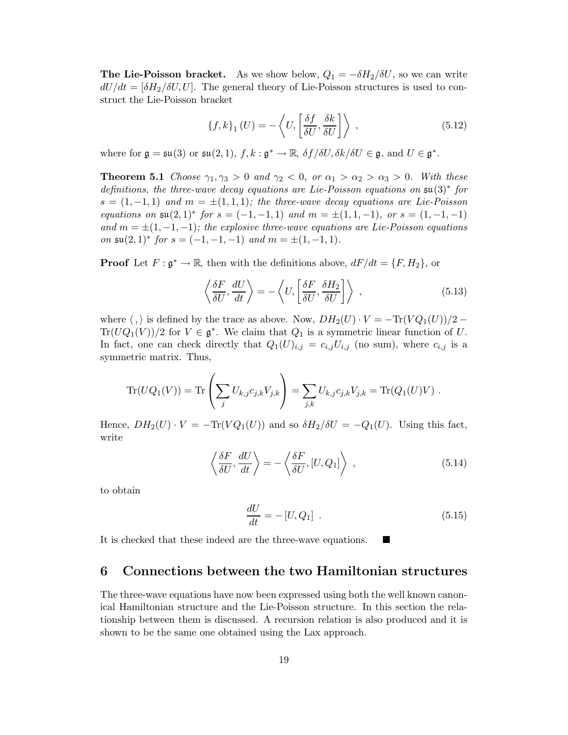**The Lie-Poisson bracket.** As we show below,  $Q_1 = -\delta H_2/\delta U$ , so we can write  $dU/dt = \left[\delta H_2/\delta U, U\right]$ . The general theory of Lie-Poisson structures is used to construct the Lie-Poisson bracket

$$
\{f, k\}_{1}(U) = -\left\langle U, \left[\frac{\delta f}{\delta U}, \frac{\delta k}{\delta U}\right] \right\rangle ,\qquad(5.12)
$$

where for  $\mathfrak{g} = \mathfrak{su}(3)$  or  $\mathfrak{su}(2,1)$ ,  $f, k : \mathfrak{g}^* \to \mathbb{R}$ ,  $\delta f / \delta U$ ,  $\delta k / \delta U \in \mathfrak{g}$ , and  $U \in \mathfrak{g}^*$ .

**Theorem 5.1** Choose  $\gamma_1, \gamma_3 > 0$  and  $\gamma_2 < 0$ , or  $\alpha_1 > \alpha_2 > \alpha_3 > 0$ . With these definitions, the three-wave decay equations are Lie-Poisson equations on su(3)∗ for  $s = (1, -1, 1)$  and  $m = \pm (1, 1, 1)$ ; the three-wave decay equations are Lie-Poisson equations on  $\mathfrak{su}(2,1)^*$  for  $s = (-1,-1,1)$  and  $m = \pm(1,1,-1)$ , or  $s = (1,-1,-1)$ and  $m = \pm (1, -1, -1)$ ; the explosive three-wave equations are Lie-Poisson equations on  $\mathfrak{su}(2,1)^*$  for  $s=(-1,-1,-1)$  and  $m=\pm(1,-1,1)$ .

**Proof** Let  $F: \mathfrak{g}^* \to \mathbb{R}$ , then with the definitions above,  $dF/dt = \{F, H_2\}$ , or

$$
\left\langle \frac{\delta F}{\delta U}, \frac{dU}{dt} \right\rangle = -\left\langle U, \left[ \frac{\delta F}{\delta U}, \frac{\delta H_2}{\delta U} \right] \right\rangle ,\qquad (5.13)
$$

where  $\langle , \rangle$  is defined by the trace as above. Now,  $DH_2(U) \cdot V = -\text{Tr}(V Q_1(U))/2 \text{Tr}(UQ_1(V))/2$  for  $V \in \mathfrak{g}^*$ . We claim that  $Q_1$  is a symmetric linear function of U. In fact, one can check directly that  $Q_1(U)_{i,j} = c_{i,j}U_{i,j}$  (no sum), where  $c_{i,j}$  is a symmetric matrix. Thus,

$$
\text{Tr}(UQ_1(V)) = \text{Tr}\left(\sum_j U_{k,j}c_{j,k}V_{j,k}\right) = \sum_{j,k} U_{k,j}c_{j,k}V_{j,k} = \text{Tr}(Q_1(U)V) .
$$

Hence,  $DH_2(U) \cdot V = -\text{Tr}(VQ_1(U))$  and so  $\delta H_2/\delta U = -Q_1(U)$ . Using this fact, write

$$
\left\langle \frac{\delta F}{\delta U}, \frac{dU}{dt} \right\rangle = -\left\langle \frac{\delta F}{\delta U}, [U, Q_1] \right\rangle ,\qquad (5.14)
$$

to obtain

$$
\frac{dU}{dt} = -[U, Q_1] \tag{5.15}
$$

It is checked that these indeed are the three-wave equations.

## **6 Connections between the two Hamiltonian structures**

The three-wave equations have now been expressed using both the well known canonical Hamiltonian structure and the Lie-Poisson structure. In this section the relationship between them is discussed. A recursion relation is also produced and it is shown to be the same one obtained using the Lax approach.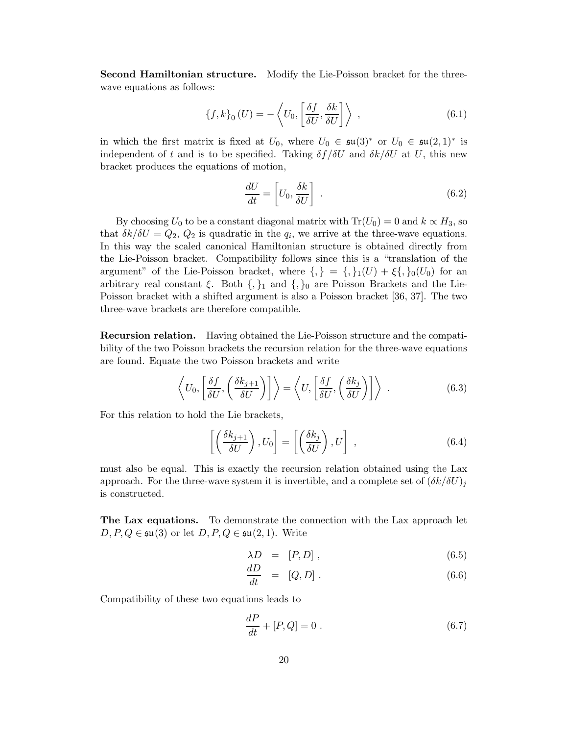**Second Hamiltonian structure.** Modify the Lie-Poisson bracket for the threewave equations as follows:

$$
\{f, k\}_0(U) = -\left\langle U_0, \left[\frac{\delta f}{\delta U}, \frac{\delta k}{\delta U}\right] \right\rangle ,\qquad (6.1)
$$

in which the first matrix is fixed at  $U_0$ , where  $U_0 \in \mathfrak{su}(3)^*$  or  $U_0 \in \mathfrak{su}(2,1)^*$  is independent of t and is to be specified. Taking  $\delta f / \delta U$  and  $\delta k / \delta U$  at U, this new bracket produces the equations of motion,

$$
\frac{dU}{dt} = \left[ U_0, \frac{\delta k}{\delta U} \right] \tag{6.2}
$$

By choosing  $U_0$  to be a constant diagonal matrix with  $Tr(U_0) = 0$  and  $k \propto H_3$ , so that  $\delta k/\delta U = Q_2, Q_2$  is quadratic in the  $q_i$ , we arrive at the three-wave equations. In this way the scaled canonical Hamiltonian structure is obtained directly from the Lie-Poisson bracket. Compatibility follows since this is a "translation of the argument" of the Lie-Poisson bracket, where  $\{,\} = \{,\}_1(U) + \xi\{,\}_0(U_0)$  for an arbitrary real constant  $\xi$ . Both  $\{,\}_1$  and  $\{,\}_0$  are Poisson Brackets and the Lie-Poisson bracket with a shifted argument is also a Poisson bracket [36, 37]. The two three-wave brackets are therefore compatible.

**Recursion relation.** Having obtained the Lie-Poisson structure and the compatibility of the two Poisson brackets the recursion relation for the three-wave equations are found. Equate the two Poisson brackets and write

$$
\left\langle U_0, \left[ \frac{\delta f}{\delta U}, \left( \frac{\delta k_{j+1}}{\delta U} \right) \right] \right\rangle = \left\langle U, \left[ \frac{\delta f}{\delta U}, \left( \frac{\delta k_j}{\delta U} \right) \right] \right\rangle \tag{6.3}
$$

For this relation to hold the Lie brackets,

$$
\left[ \left( \frac{\delta k_{j+1}}{\delta U} \right), U_0 \right] = \left[ \left( \frac{\delta k_j}{\delta U} \right), U \right], \qquad (6.4)
$$

must also be equal. This is exactly the recursion relation obtained using the Lax approach. For the three-wave system it is invertible, and a complete set of  $(\delta k/\delta U)_i$ is constructed.

**The Lax equations.** To demonstrate the connection with the Lax approach let  $D, P, Q \in \mathfrak{su}(3)$  or let  $D, P, Q \in \mathfrak{su}(2,1)$ . Write

$$
\lambda D = [P, D] \tag{6.5}
$$

$$
\frac{dD}{dt} = [Q, D] \tag{6.6}
$$

Compatibility of these two equations leads to

$$
\frac{dP}{dt} + [P, Q] = 0 \tag{6.7}
$$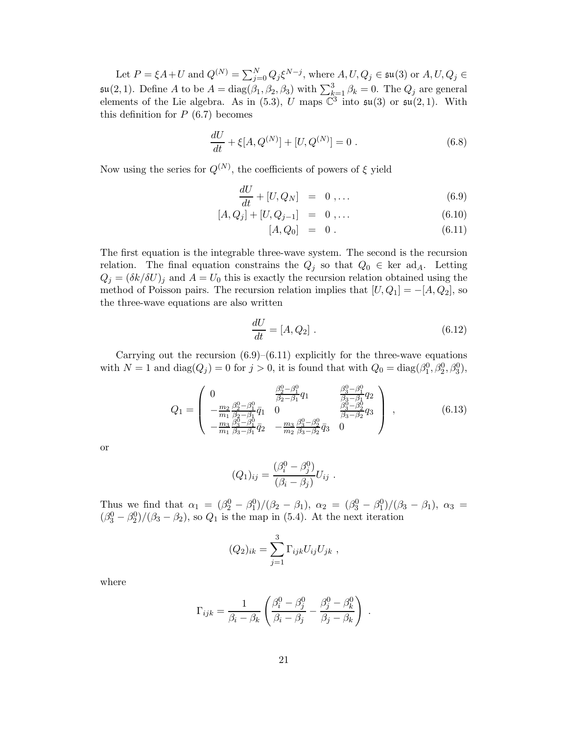Let  $P = \xi A + U$  and  $Q^{(N)} = \sum_{j=0}^{N} Q_j \xi^{N-j}$ , where  $A, U, Q_j \in \mathfrak{su}(3)$  or  $A, U, Q_j \in$  $\mathfrak{su}(2,1)$ . Define A to be  $A = \text{diag}(\beta_1, \beta_2, \beta_3)$  with  $\sum_{k=1}^{3} \beta_k = 0$ . The  $Q_j$  are general elements of the Lie algebra. As in (5.3), U maps  $\mathbb{C}^3$  into  $\mathfrak{su}(3)$  or  $\mathfrak{su}(2,1)$ . With this definition for  $P(6.7)$  becomes

$$
\frac{dU}{dt} + \xi[A, Q^{(N)}] + [U, Q^{(N)}] = 0.
$$
\n(6.8)

Now using the series for  $Q^{(N)}$ , the coefficients of powers of  $\xi$  yield

$$
\frac{dU}{dt} + [U, Q_N] = 0, \dots \tag{6.9}
$$

$$
[A, Q_j] + [U, Q_{j-1}] = 0, \dots \tag{6.10}
$$

$$
[A, Q_0] = 0. \t(6.11)
$$

The first equation is the integrable three-wave system. The second is the recursion relation. The final equation constrains the  $Q_i$  so that  $Q_0 \in \text{ker } \text{ad}_A$ . Letting  $Q_j = (\delta k / \delta U)_j$  and  $A = U_0$  this is exactly the recursion relation obtained using the method of Poisson pairs. The recursion relation implies that  $[U,Q_1] = -[A,Q_2]$ , so the three-wave equations are also written

$$
\frac{dU}{dt} = [A, Q_2] \ . \tag{6.12}
$$

Carrying out the recursion  $(6.9)$ – $(6.11)$  explicitly for the three-wave equations with  $N = 1$  and  $diag(Q_j) = 0$  for  $j > 0$ , it is found that with  $Q_0 = diag(\beta_1^0, \beta_2^0, \beta_3^0)$ ,

$$
Q_{1} = \begin{pmatrix} 0 & \frac{\beta_{2}^{0} - \beta_{1}^{0}}{\beta_{2} - \beta_{1}} q_{1} & \frac{\beta_{3}^{0} - \beta_{1}^{0}}{\beta_{3} - \beta_{1}} q_{2} \\ -\frac{m_{2}}{m_{1}} \frac{\beta_{2} - \beta_{1}^{0}}{\beta_{2} - \beta_{1}} \bar{q}_{1} & 0 & \frac{\beta_{3}^{0} - \beta_{2}^{0}}{\beta_{3} - \beta_{2}} q_{3} \\ -\frac{m_{3}}{m_{1}} \frac{\beta_{3}^{0} - \beta_{1}^{0}}{\beta_{3} - \beta_{1}} \bar{q}_{2} & -\frac{m_{3}}{m_{2}} \frac{\beta_{3}^{0} - \beta_{2}^{0}}{\beta_{3} - \beta_{2}} \bar{q}_{3} & 0 \end{pmatrix}, \qquad (6.13)
$$

or

$$
(Q_1)_{ij} = \frac{(\beta_i^0 - \beta_j^0)}{(\beta_i - \beta_j)} U_{ij} .
$$

Thus we find that  $\alpha_1 = (\beta_2^0 - \beta_1^0)/(\beta_2 - \beta_1), \ \alpha_2 = (\beta_3^0 - \beta_1^0)/(\beta_3 - \beta_1), \ \alpha_3 =$  $(\beta_3^0 - \beta_2^0)/(\beta_3 - \beta_2)$ , so  $Q_1$  is the map in (5.4). At the next iteration

$$
(Q_2)_{ik} = \sum_{j=1}^3 \Gamma_{ijk} U_{ij} U_{jk} ,
$$

where

$$
\Gamma_{ijk} = \frac{1}{\beta_i - \beta_k} \left( \frac{\beta_i^0 - \beta_j^0}{\beta_i - \beta_j} - \frac{\beta_j^0 - \beta_k^0}{\beta_j - \beta_k} \right) .
$$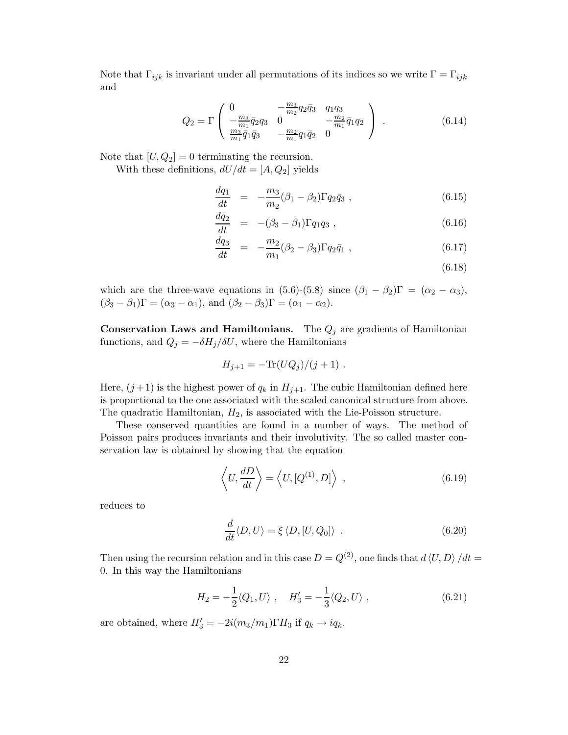Note that  $\Gamma_{ijk}$  is invariant under all permutations of its indices so we write  $\Gamma = \Gamma_{ijk}$ and

$$
Q_2 = \Gamma \begin{pmatrix} 0 & -\frac{m_3}{m_2} q_2 \bar{q}_3 & q_1 q_3 \\ -\frac{m_3}{m_1} \bar{q}_2 q_3 & 0 & -\frac{m_2}{m_1} \bar{q}_1 q_2 \\ \frac{m_3}{m_1} \bar{q}_1 \bar{q}_3 & -\frac{m_2}{m_1} q_1 \bar{q}_2 & 0 \end{pmatrix} . \tag{6.14}
$$

Note that  $[U, Q_2] = 0$  terminating the recursion.

With these definitions,  $dU/dt = [A, Q_2]$  yields

$$
\frac{dq_1}{dt} = -\frac{m_3}{m_2} (\beta_1 - \beta_2) \Gamma q_2 \bar{q}_3 , \qquad (6.15)
$$

$$
\frac{dq_2}{dt} = -(\beta_3 - \beta_1) \Gamma q_1 q_3 , \qquad (6.16)
$$

$$
\frac{dq_3}{dt} = -\frac{m_2}{m_1} (\beta_2 - \beta_3) \Gamma q_2 \bar{q}_1 , \qquad (6.17)
$$

(6.18)

which are the three-wave equations in (5.6)-(5.8) since  $(\beta_1 - \beta_2)\Gamma = (\alpha_2 - \alpha_3)$ ,  $(\beta_3 - \beta_1)\Gamma = (\alpha_3 - \alpha_1)$ , and  $(\beta_2 - \beta_3)\Gamma = (\alpha_1 - \alpha_2)$ .

**Conservation Laws and Hamiltonians.** The  $Q_j$  are gradients of Hamiltonian functions, and  $Q_j = -\delta H_j/\delta U$ , where the Hamiltonians

$$
H_{j+1} = -\text{Tr}(UQ_j)/(j+1) \ .
$$

Here,  $(j+1)$  is the highest power of  $q_k$  in  $H_{j+1}$ . The cubic Hamiltonian defined here is proportional to the one associated with the scaled canonical structure from above. The quadratic Hamiltonian,  $H_2$ , is associated with the Lie-Poisson structure.

These conserved quantities are found in a number of ways. The method of Poisson pairs produces invariants and their involutivity. The so called master conservation law is obtained by showing that the equation

$$
\left\langle U, \frac{dD}{dt} \right\rangle = \left\langle U, [Q^{(1)}, D] \right\rangle , \qquad (6.19)
$$

reduces to

$$
\frac{d}{dt}\langle D,U\rangle = \xi \langle D, [U,Q_0]\rangle . \qquad (6.20)
$$

Then using the recursion relation and in this case  $D = Q^{(2)}$ , one finds that  $d \langle U, D \rangle / dt =$ 0. In this way the Hamiltonians

$$
H_2 = -\frac{1}{2} \langle Q_1, U \rangle \ , \quad H'_3 = -\frac{1}{3} \langle Q_2, U \rangle \ , \tag{6.21}
$$

are obtained, where  $H_3' = -2i(m_3/m_1)\Gamma H_3$  if  $q_k \to iq_k$ .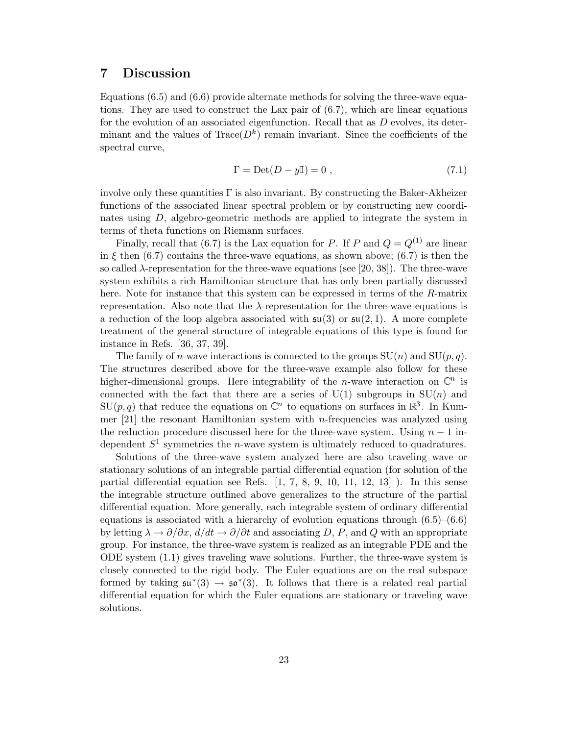# **7 Discussion**

Equations (6.5) and (6.6) provide alternate methods for solving the three-wave equations. They are used to construct the Lax pair of  $(6.7)$ , which are linear equations for the evolution of an associated eigenfunction. Recall that as  $D$  evolves, its determinant and the values of  $Trace(D^k)$  remain invariant. Since the coefficients of the spectral curve,

$$
\Gamma = \text{Det}(D - y\mathbb{I}) = 0 \tag{7.1}
$$

involve only these quantities  $\Gamma$  is also invariant. By constructing the Baker-Akheizer functions of the associated linear spectral problem or by constructing new coordinates using D, algebro-geometric methods are applied to integrate the system in terms of theta functions on Riemann surfaces.

Finally, recall that (6.7) is the Lax equation for P. If P and  $Q = Q^{(1)}$  are linear in  $\xi$  then (6.7) contains the three-wave equations, as shown above; (6.7) is then the so called  $\lambda$ -representation for the three-wave equations (see [20, 38]). The three-wave system exhibits a rich Hamiltonian structure that has only been partially discussed here. Note for instance that this system can be expressed in terms of the R-matrix representation. Also note that the  $\lambda$ -representation for the three-wave equations is a reduction of the loop algebra associated with  $\mathfrak{su}(3)$  or  $\mathfrak{su}(2,1)$ . A more complete treatment of the general structure of integrable equations of this type is found for instance in Refs. [36, 37, 39].

The family of *n*-wave interactions is connected to the groups  $SU(n)$  and  $SU(p, q)$ . The structures described above for the three-wave example also follow for these higher-dimensional groups. Here integrability of the *n*-wave interaction on  $\mathbb{C}^n$  is connected with the fact that there are a series of  $U(1)$  subgroups in  $SU(n)$  and  $SU(p, q)$  that reduce the equations on  $\mathbb{C}^n$  to equations on surfaces in  $\mathbb{R}^3$ . In Kummer  $[21]$  the resonant Hamiltonian system with *n*-frequencies was analyzed using the reduction procedure discussed here for the three-wave system. Using  $n-1$  independent  $S^1$  symmetries the *n*-wave system is ultimately reduced to quadratures.

Solutions of the three-wave system analyzed here are also traveling wave or stationary solutions of an integrable partial differential equation (for solution of the partial differential equation see Refs.  $[1, 7, 8, 9, 10, 11, 12, 13]$ . In this sense the integrable structure outlined above generalizes to the structure of the partial differential equation. More generally, each integrable system of ordinary differential equations is associated with a hierarchy of evolution equations through  $(6.5)$ – $(6.6)$ by letting  $\lambda \to \partial/\partial x$ ,  $d/dt \to \partial/\partial t$  and associating D, P, and Q with an appropriate group. For instance, the three-wave system is realized as an integrable PDE and the ODE system (1.1) gives traveling wave solutions. Further, the three-wave system is closely connected to the rigid body. The Euler equations are on the real subspace formed by taking  $\mathfrak{su}^*(3) \to \mathfrak{so}^*(3)$ . It follows that there is a related real partial differential equation for which the Euler equations are stationary or traveling wave solutions.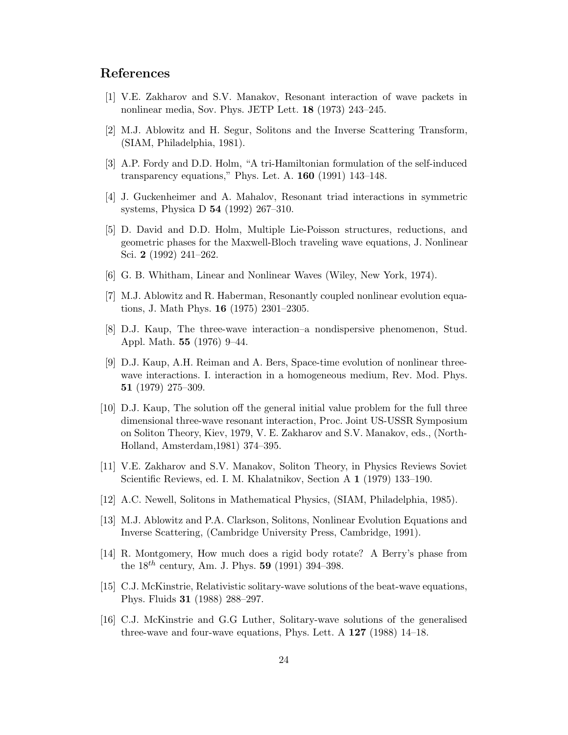# **References**

- [1] V.E. Zakharov and S.V. Manakov, Resonant interaction of wave packets in nonlinear media, Sov. Phys. JETP Lett. **18** (1973) 243–245.
- [2] M.J. Ablowitz and H. Segur, Solitons and the Inverse Scattering Transform, (SIAM, Philadelphia, 1981).
- [3] A.P. Fordy and D.D. Holm, "A tri-Hamiltonian formulation of the self-induced transparency equations," Phys. Let. A. **160** (1991) 143–148.
- [4] J. Guckenheimer and A. Mahalov, Resonant triad interactions in symmetric systems, Physica D **54** (1992) 267–310.
- [5] D. David and D.D. Holm, Multiple Lie-Poisson structures, reductions, and geometric phases for the Maxwell-Bloch traveling wave equations, J. Nonlinear Sci. **2** (1992) 241–262.
- [6] G. B. Whitham, Linear and Nonlinear Waves (Wiley, New York, 1974).
- [7] M.J. Ablowitz and R. Haberman, Resonantly coupled nonlinear evolution equations, J. Math Phys. **16** (1975) 2301–2305.
- [8] D.J. Kaup, The three-wave interaction–a nondispersive phenomenon, Stud. Appl. Math. **55** (1976) 9–44.
- [9] D.J. Kaup, A.H. Reiman and A. Bers, Space-time evolution of nonlinear threewave interactions. I. interaction in a homogeneous medium, Rev. Mod. Phys. **51** (1979) 275–309.
- [10] D.J. Kaup, The solution off the general initial value problem for the full three dimensional three-wave resonant interaction, Proc. Joint US-USSR Symposium on Soliton Theory, Kiev, 1979, V. E. Zakharov and S.V. Manakov, eds., (North-Holland, Amsterdam,1981) 374–395.
- [11] V.E. Zakharov and S.V. Manakov, Soliton Theory, in Physics Reviews Soviet Scientific Reviews, ed. I. M. Khalatnikov, Section A **1** (1979) 133–190.
- [12] A.C. Newell, Solitons in Mathematical Physics, (SIAM, Philadelphia, 1985).
- [13] M.J. Ablowitz and P.A. Clarkson, Solitons, Nonlinear Evolution Equations and Inverse Scattering, (Cambridge University Press, Cambridge, 1991).
- [14] R. Montgomery, How much does a rigid body rotate? A Berry's phase from the  $18^{th}$  century, Am. J. Phys. **59** (1991) 394–398.
- [15] C.J. McKinstrie, Relativistic solitary-wave solutions of the beat-wave equations, Phys. Fluids **31** (1988) 288–297.
- [16] C.J. McKinstrie and G.G Luther, Solitary-wave solutions of the generalised three-wave and four-wave equations, Phys. Lett. A **127** (1988) 14–18.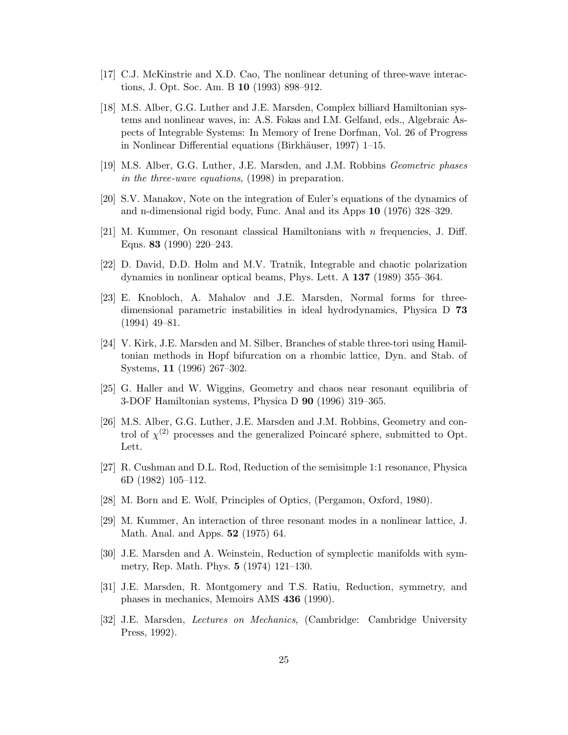- [17] C.J. McKinstrie and X.D. Cao, The nonlinear detuning of three-wave interactions, J. Opt. Soc. Am. B **10** (1993) 898–912.
- [18] M.S. Alber, G.G. Luther and J.E. Marsden, Complex billiard Hamiltonian systems and nonlinear waves, in: A.S. Fokas and I.M. Gelfand, eds., Algebraic Aspects of Integrable Systems: In Memory of Irene Dorfman, Vol. 26 of Progress in Nonlinear Differential equations (Birkhäuser, 1997) 1–15.
- [19] M.S. Alber, G.G. Luther, J.E. Marsden, and J.M. Robbins Geometric phases in the three-wave equations, (1998) in preparation.
- [20] S.V. Manakov, Note on the integration of Euler's equations of the dynamics of and n-dimensional rigid body, Func. Anal and its Apps **10** (1976) 328–329.
- [21] M. Kummer, On resonant classical Hamiltonians with  $n$  frequencies, J. Diff. Eqns. **83** (1990) 220–243.
- [22] D. David, D.D. Holm and M.V. Tratnik, Integrable and chaotic polarization dynamics in nonlinear optical beams, Phys. Lett. A **137** (1989) 355–364.
- [23] E. Knobloch, A. Mahalov and J.E. Marsden, Normal forms for threedimensional parametric instabilities in ideal hydrodynamics, Physica D **73** (1994) 49–81.
- [24] V. Kirk, J.E. Marsden and M. Silber, Branches of stable three-tori using Hamiltonian methods in Hopf bifurcation on a rhombic lattice, Dyn. and Stab. of Systems, **11** (1996) 267–302.
- [25] G. Haller and W. Wiggins, Geometry and chaos near resonant equilibria of 3-DOF Hamiltonian systems, Physica D **90** (1996) 319–365.
- [26] M.S. Alber, G.G. Luther, J.E. Marsden and J.M. Robbins, Geometry and control of  $\chi^{(2)}$  processes and the generalized Poincaré sphere, submitted to Opt. Lett.
- [27] R. Cushman and D.L. Rod, Reduction of the semisimple 1:1 resonance, Physica 6D (1982) 105–112.
- [28] M. Born and E. Wolf, Principles of Optics, (Pergamon, Oxford, 1980).
- [29] M. Kummer, An interaction of three resonant modes in a nonlinear lattice, J. Math. Anal. and Apps. **52** (1975) 64.
- [30] J.E. Marsden and A. Weinstein, Reduction of symplectic manifolds with symmetry, Rep. Math. Phys. **5** (1974) 121–130.
- [31] J.E. Marsden, R. Montgomery and T.S. Ratiu, Reduction, symmetry, and phases in mechanics, Memoirs AMS **436** (1990).
- [32] J.E. Marsden, Lectures on Mechanics, (Cambridge: Cambridge University Press, 1992).